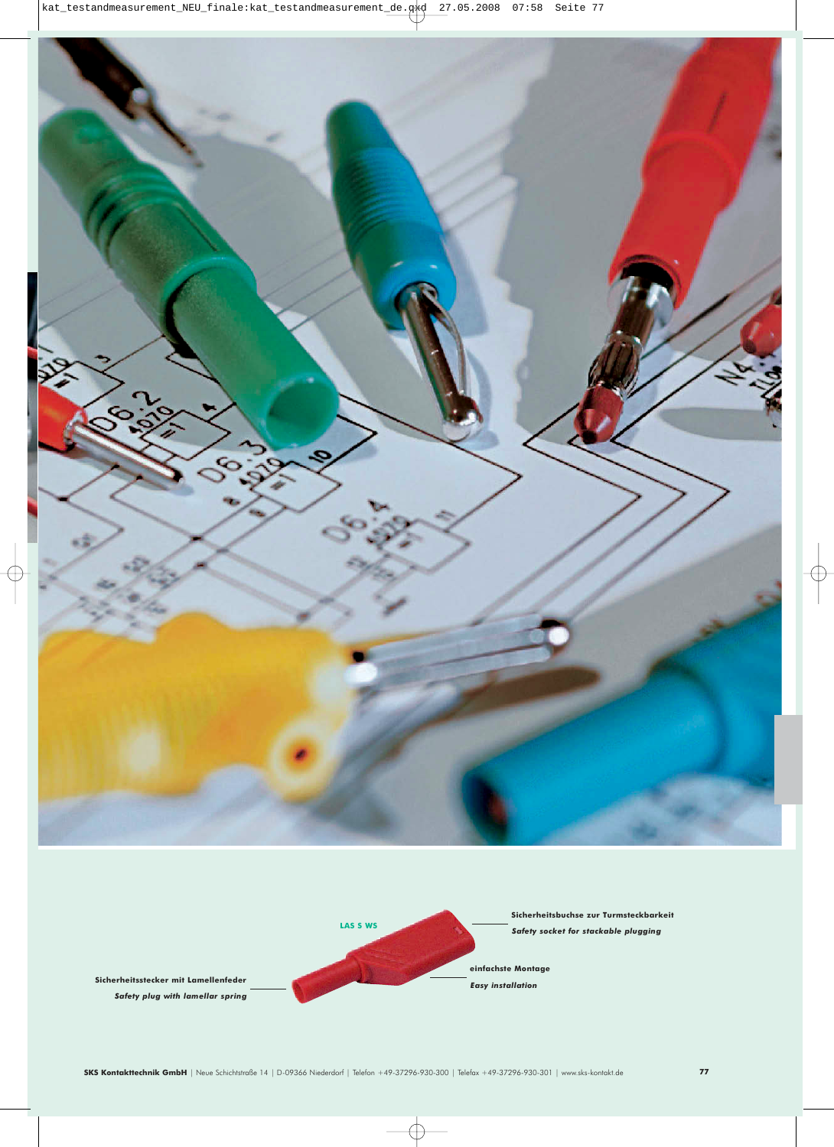

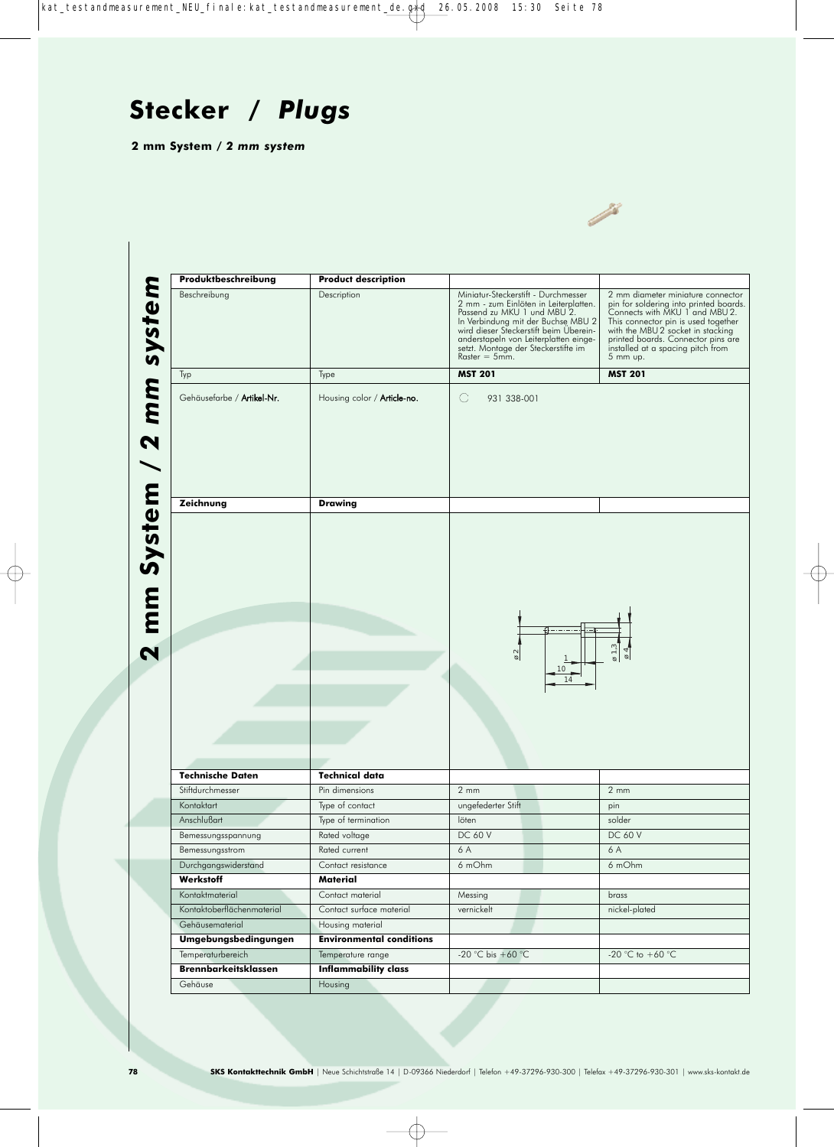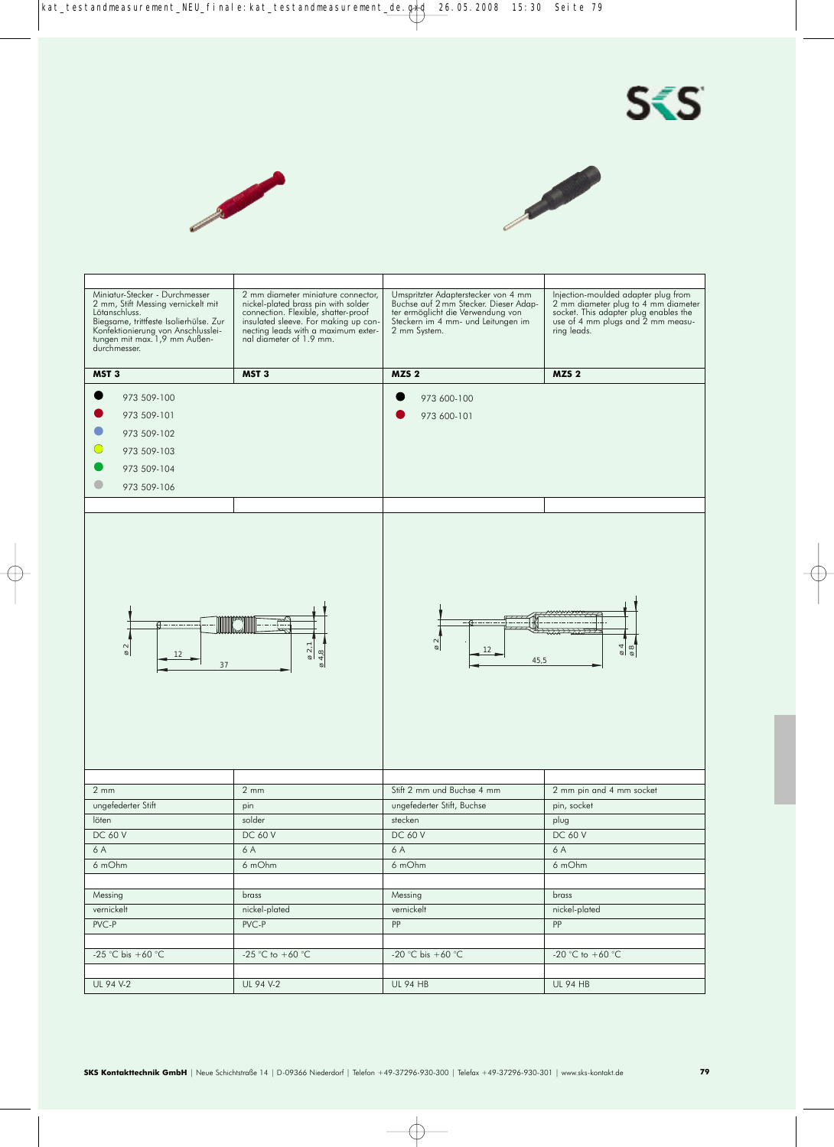





| Miniatur-Stecker - Durchmesser<br>2 mm, Stift Messing vernickelt mit<br>Lötanschluss.<br>Biegsame, trittfeste Isolierhülse. Zur<br>Konfektionierung von Anschlusslei-<br>tungen mit max. 1,9 mm Außen-<br>durchmesser. | 2 mm diameter miniature connector,<br>nickel-plated brass pin with solder<br>connection. Flexible, shatter-proof<br>insulated sleeve. For making up con-<br>necting leads with a maximum external diameter of 1.9 mm. | Umspritzter Adapterstecker von 4 mm<br>Buchse auf 2 mm Stecker. Dieser Adap-<br>ter ermöglicht die Verwendung von<br>Steckern im 4 mm- und Leitungen im<br>2 mm System. | Injection-moulded adapter plug from<br>2 mm diameter plug to 4 mm diameter<br>socket. This adapter plug enables the<br>use of 4 mm plugs and 2 mm measu-<br>ring leads. |
|------------------------------------------------------------------------------------------------------------------------------------------------------------------------------------------------------------------------|-----------------------------------------------------------------------------------------------------------------------------------------------------------------------------------------------------------------------|-------------------------------------------------------------------------------------------------------------------------------------------------------------------------|-------------------------------------------------------------------------------------------------------------------------------------------------------------------------|
| MST <sub>3</sub>                                                                                                                                                                                                       | MST <sub>3</sub>                                                                                                                                                                                                      | MZS <sub>2</sub>                                                                                                                                                        | MZS <sub>2</sub>                                                                                                                                                        |
| 973 509-100<br>973 509-101<br>973 509-102<br>973 509-103<br>973 509-104<br>973 509-106                                                                                                                                 |                                                                                                                                                                                                                       | 973 600-100<br>973 600-101                                                                                                                                              |                                                                                                                                                                         |
| 4. – . – . –<br>$\varnothing$ 2<br>12<br>37                                                                                                                                                                            | $\varnothing$ 2,1<br>4,8                                                                                                                                                                                              | $\sim$<br>$\circ$<br>12<br>45,5                                                                                                                                         | $\overline{6}$ 4<br>$\frac{8}{9}$                                                                                                                                       |
| $2 \, \text{mm}$                                                                                                                                                                                                       | $2 \, \text{mm}$                                                                                                                                                                                                      | Stift 2 mm und Buchse 4 mm                                                                                                                                              | 2 mm pin and 4 mm socket                                                                                                                                                |
| ungefederter Stift                                                                                                                                                                                                     |                                                                                                                                                                                                                       | ungefederter Stift, Buchse                                                                                                                                              | pin, socket                                                                                                                                                             |
| löten                                                                                                                                                                                                                  | pin<br>solder                                                                                                                                                                                                         | stecken                                                                                                                                                                 | plug                                                                                                                                                                    |
| <b>DC 60 V</b>                                                                                                                                                                                                         | <b>DC 60 V</b>                                                                                                                                                                                                        | <b>DC 60 V</b>                                                                                                                                                          | DC 60 V                                                                                                                                                                 |
| 6 A                                                                                                                                                                                                                    | 6 A                                                                                                                                                                                                                   | 6 A                                                                                                                                                                     | 6 A                                                                                                                                                                     |
| 6 mOhm                                                                                                                                                                                                                 | 6 mOhm                                                                                                                                                                                                                | 6 mOhm                                                                                                                                                                  | 6 mOhm                                                                                                                                                                  |
|                                                                                                                                                                                                                        |                                                                                                                                                                                                                       |                                                                                                                                                                         |                                                                                                                                                                         |
| Messing                                                                                                                                                                                                                | brass                                                                                                                                                                                                                 | Messing                                                                                                                                                                 | brass                                                                                                                                                                   |
| vernickelt                                                                                                                                                                                                             | nickel-plated                                                                                                                                                                                                         | vernickelt                                                                                                                                                              | nickel-plated                                                                                                                                                           |
| PVC-P                                                                                                                                                                                                                  | PVC-P                                                                                                                                                                                                                 | PP                                                                                                                                                                      | PP                                                                                                                                                                      |
|                                                                                                                                                                                                                        |                                                                                                                                                                                                                       |                                                                                                                                                                         |                                                                                                                                                                         |
| -25 °C bis +60 °C                                                                                                                                                                                                      | -25 °C to +60 °C                                                                                                                                                                                                      | -20 °C bis +60 °C                                                                                                                                                       | -20 °C to +60 °C                                                                                                                                                        |
|                                                                                                                                                                                                                        |                                                                                                                                                                                                                       |                                                                                                                                                                         |                                                                                                                                                                         |
| UL 94 V-2                                                                                                                                                                                                              | UL 94 V-2                                                                                                                                                                                                             | <b>UL 94 HB</b>                                                                                                                                                         | <b>UL 94 HB</b>                                                                                                                                                         |
|                                                                                                                                                                                                                        |                                                                                                                                                                                                                       |                                                                                                                                                                         |                                                                                                                                                                         |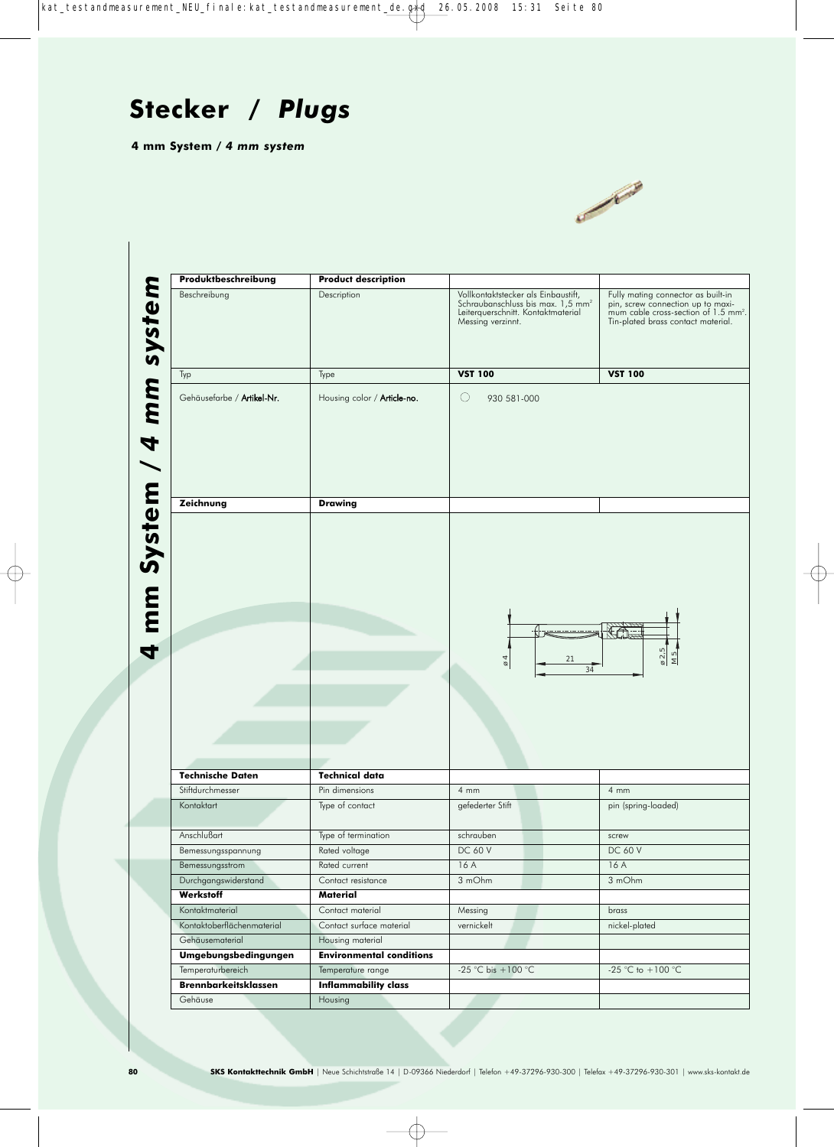

| Beschreibung                                     | <b>Product description</b>                       |                                                                                                                                                 |                                                                                                                                                                   |
|--------------------------------------------------|--------------------------------------------------|-------------------------------------------------------------------------------------------------------------------------------------------------|-------------------------------------------------------------------------------------------------------------------------------------------------------------------|
|                                                  | Description                                      | Vollkontaktstecker als Einbaustift,<br>Schraubanschluss bis max. 1,5 mm <sup>2</sup><br>Leiterquerschnitt. Kontaktmaterial<br>Messing verzinnt. | Fully mating connector as built-in<br>pin, screw connection up to maxi-<br>mum cable cross-section of 1.5 mm <sup>2</sup> .<br>Tin-plated brass contact material. |
| Typ                                              | Type                                             | <b>VST 100</b>                                                                                                                                  | <b>VST 100</b>                                                                                                                                                    |
| Gehäusefarbe / Artikel-Nr.                       | Housing color / <b>Article-no.</b>               | O<br>930 581-000                                                                                                                                |                                                                                                                                                                   |
|                                                  |                                                  |                                                                                                                                                 |                                                                                                                                                                   |
| Zeichnung                                        | <b>Drawing</b>                                   |                                                                                                                                                 |                                                                                                                                                                   |
|                                                  |                                                  |                                                                                                                                                 |                                                                                                                                                                   |
|                                                  |                                                  | $\varnothing$<br>21<br>34                                                                                                                       | $\varnothing$ 2,5<br>$M_{5}$                                                                                                                                      |
| <b>Technische Daten</b>                          | <b>Technical data</b>                            |                                                                                                                                                 |                                                                                                                                                                   |
| Stiftdurchmesser                                 | Pin dimensions                                   | $4 \, \text{mm}$                                                                                                                                | 4 mm                                                                                                                                                              |
| Kontaktart                                       | Type of contact                                  | gefederter Stift                                                                                                                                | pin (spring-loaded)                                                                                                                                               |
| Anschlußart                                      | Type of termination                              | schrauben                                                                                                                                       | screw                                                                                                                                                             |
| Bemessungsspannung                               | Rated voltage                                    | DC 60 V                                                                                                                                         | <b>DC 60 V</b>                                                                                                                                                    |
| Bemessungsstrom                                  | Rated current                                    | 16 A                                                                                                                                            | 16 A                                                                                                                                                              |
| Durchgangswiderstand                             | Contact resistance                               | 3 mOhm                                                                                                                                          | 3 mOhm                                                                                                                                                            |
| Werkstoff                                        | Material                                         |                                                                                                                                                 |                                                                                                                                                                   |
| Kontaktmaterial                                  | Contact material                                 | Messing                                                                                                                                         | brass                                                                                                                                                             |
| Kontaktoberflächenmaterial                       | Contact surface material                         | vernickelt                                                                                                                                      | nickel-plated                                                                                                                                                     |
| Gehäusematerial                                  | Housing material                                 |                                                                                                                                                 |                                                                                                                                                                   |
| Umgebungsbedingungen                             | <b>Environmental conditions</b>                  |                                                                                                                                                 |                                                                                                                                                                   |
| Temperaturbereich<br><b>Brennbarkeitsklassen</b> | Temperature range<br><b>Inflammability class</b> | -25 °C bis +100 °C                                                                                                                              | -25 °C to $+100$ °C                                                                                                                                               |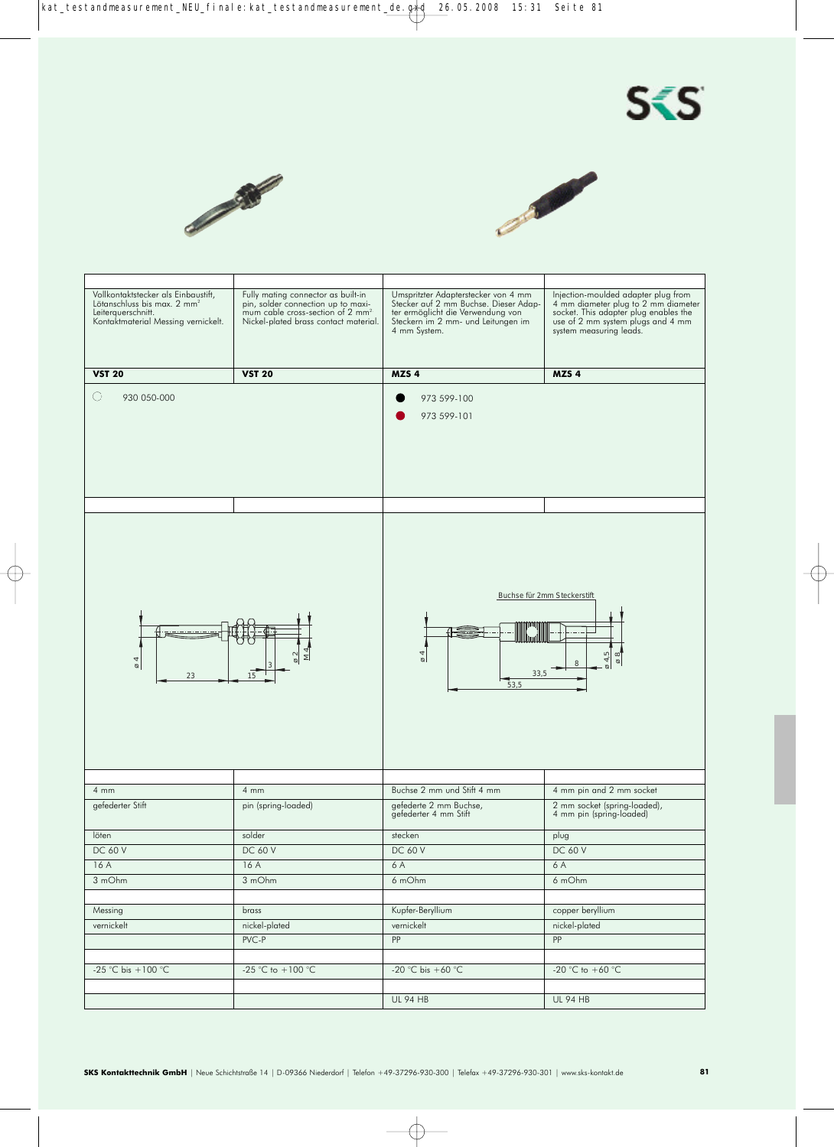





| Vollkontaktstecker als Einbaustift,<br>Lötanschluss bis max. 2 mm <sup>2</sup><br>Leiterquerschnitt.<br>Kontaktmaterial Messing vernickelt. | Fully mating connector as built-in<br>pin, solder connection up to maxi-<br>mum cable cross-section of 2 mm <sup>2</sup><br>Nickel-plated brass contact material. | Umspritzter Adapterstecker von 4 mm<br>Stecker auf 2 mm Buchse. Dieser Adap-<br>ter ermöglicht die Verwendung von<br>Steckern im 2 mm- und Leitungen im<br>4 mm System. | Injection-moulded adapter plug from<br>4 mm diameter plug to 2 mm diameter<br>socket. This adapter plug enables the<br>use of 2 mm system plugs and 4 mm<br>system measuring leads. |
|---------------------------------------------------------------------------------------------------------------------------------------------|-------------------------------------------------------------------------------------------------------------------------------------------------------------------|-------------------------------------------------------------------------------------------------------------------------------------------------------------------------|-------------------------------------------------------------------------------------------------------------------------------------------------------------------------------------|
| <b>VST 20</b>                                                                                                                               | <b>VST 20</b>                                                                                                                                                     | MZS <sub>4</sub>                                                                                                                                                        | MZS <sub>4</sub>                                                                                                                                                                    |
| ( )<br>930 050-000                                                                                                                          |                                                                                                                                                                   | 973 599-100<br>973 599-101                                                                                                                                              |                                                                                                                                                                                     |
|                                                                                                                                             |                                                                                                                                                                   |                                                                                                                                                                         |                                                                                                                                                                                     |
| $\varnothing$<br>23                                                                                                                         | ≅<br>15                                                                                                                                                           | $\overline{6}$<br>33,5<br>53,5                                                                                                                                          | Buchse für 2mm Steckerstift<br>ø 4,5<br>$\frac{8}{9}$<br>8                                                                                                                          |
|                                                                                                                                             |                                                                                                                                                                   |                                                                                                                                                                         |                                                                                                                                                                                     |
| $4 \, \text{mm}$                                                                                                                            | $4 \, \text{mm}$                                                                                                                                                  | Buchse 2 mm und Stift 4 mm                                                                                                                                              | 4 mm pin and 2 mm socket                                                                                                                                                            |
| gefederter Stift                                                                                                                            | pin (spring-loaded)                                                                                                                                               | gefederte 2 mm Buchse,<br>gefederter 4 mm Stift                                                                                                                         | 2 mm socket (spring-loaded),<br>4 mm pin (spring-loaded)                                                                                                                            |
| löten                                                                                                                                       | solder                                                                                                                                                            | stecken                                                                                                                                                                 | plug                                                                                                                                                                                |
| <b>DC 60 V</b>                                                                                                                              | <b>DC 60 V</b>                                                                                                                                                    | <b>DC 60 V</b>                                                                                                                                                          | <b>DC 60 V</b>                                                                                                                                                                      |
| 16A                                                                                                                                         | 16A                                                                                                                                                               | 6 A                                                                                                                                                                     | 6A                                                                                                                                                                                  |
| 3 mOhm                                                                                                                                      | 3 mOhm                                                                                                                                                            | 6 mOhm                                                                                                                                                                  | 6 mOhm                                                                                                                                                                              |
|                                                                                                                                             |                                                                                                                                                                   |                                                                                                                                                                         |                                                                                                                                                                                     |
| Messing                                                                                                                                     | brass                                                                                                                                                             | Kupfer-Beryllium                                                                                                                                                        | copper beryllium                                                                                                                                                                    |
| vernickelt                                                                                                                                  | nickel-plated                                                                                                                                                     | vernickelt                                                                                                                                                              | nickel-plated                                                                                                                                                                       |
|                                                                                                                                             | $PVC-P$                                                                                                                                                           | PP                                                                                                                                                                      | PP                                                                                                                                                                                  |
|                                                                                                                                             |                                                                                                                                                                   |                                                                                                                                                                         |                                                                                                                                                                                     |
| -25 °C bis +100 °C                                                                                                                          | -25 °C to $+100$ °C                                                                                                                                               | -20 °C bis +60 °C                                                                                                                                                       | -20 °C to +60 °C                                                                                                                                                                    |
|                                                                                                                                             |                                                                                                                                                                   |                                                                                                                                                                         |                                                                                                                                                                                     |
|                                                                                                                                             |                                                                                                                                                                   |                                                                                                                                                                         |                                                                                                                                                                                     |
|                                                                                                                                             |                                                                                                                                                                   | <b>UL 94 HB</b>                                                                                                                                                         | <b>UL 94 HB</b>                                                                                                                                                                     |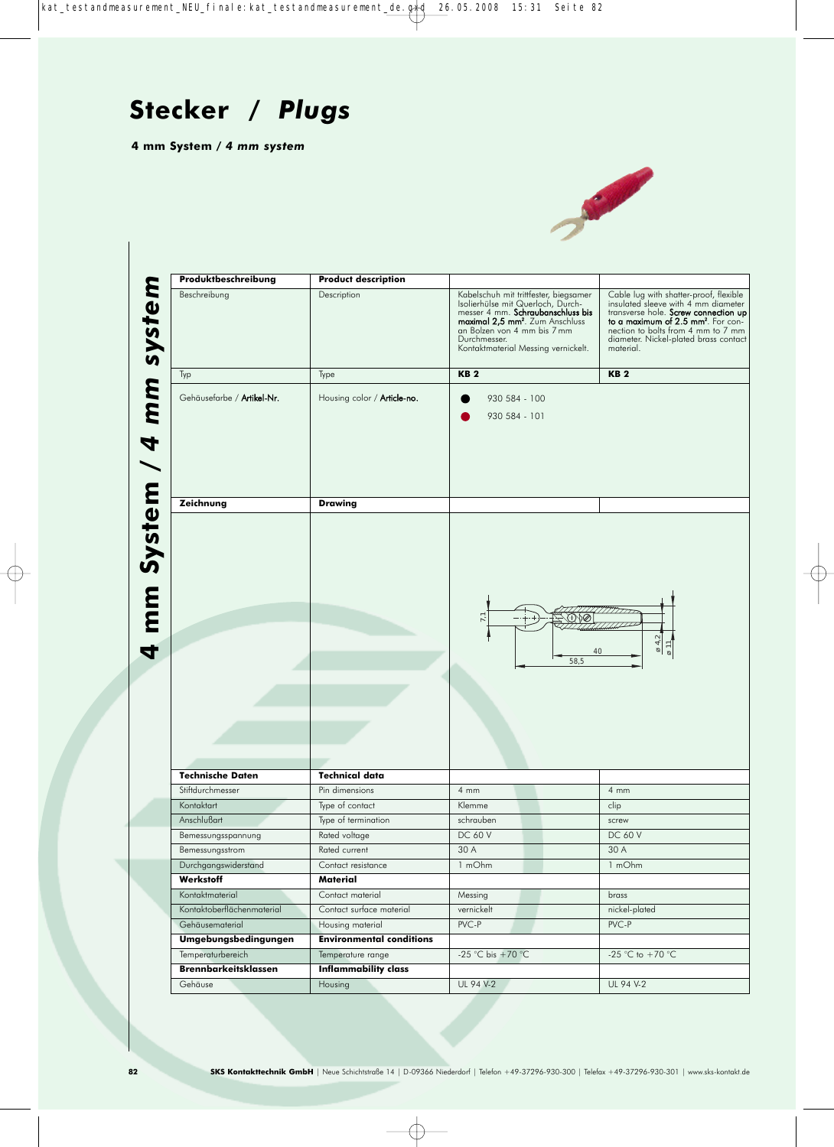

| Produktbeschreibung                         | <b>Product description</b>              |                                                                                                                                                                                                                                                      |                                                                                                                                                                                                                                                                     |
|---------------------------------------------|-----------------------------------------|------------------------------------------------------------------------------------------------------------------------------------------------------------------------------------------------------------------------------------------------------|---------------------------------------------------------------------------------------------------------------------------------------------------------------------------------------------------------------------------------------------------------------------|
| Beschreibung                                | Description                             | Kabelschuh mit trittfester, biegsamer<br>Isolierhülse mit Querloch, Durch-<br>messer 4 mm. Schraubanschluss bis<br>maximal 2,5 mm <sup>2</sup> . Zum Anschluss<br>an Bolzen von 4 mm bis 7 mm<br>Durchmesser.<br>Kontaktmaterial Messing vernickelt. | Cable lug with shatter-proof, flexible<br>insulated sleeve with 4 mm diameter<br>transverse hole. Screw connection up<br>to a maximum of 2.5 mm <sup>2</sup> . For con-<br>nection to bolts from 4 mm to 7 mm<br>diameter. Nickel-plated brass contact<br>material. |
| Typ                                         | Type                                    | <b>KB2</b>                                                                                                                                                                                                                                           | <b>KB2</b>                                                                                                                                                                                                                                                          |
| Gehäusefarbe / Artikel-Nr.                  | Housing color / Article-no.             | 930 584 - 100<br>930 584 - 101                                                                                                                                                                                                                       |                                                                                                                                                                                                                                                                     |
| Zeichnung                                   | <b>Drawing</b>                          |                                                                                                                                                                                                                                                      |                                                                                                                                                                                                                                                                     |
|                                             |                                         | 7,1<br>40<br>58,5                                                                                                                                                                                                                                    | $\alpha$ 4.2<br>011                                                                                                                                                                                                                                                 |
|                                             |                                         |                                                                                                                                                                                                                                                      |                                                                                                                                                                                                                                                                     |
| <b>Technische Daten</b><br>Stiftdurchmesser | <b>Technical data</b><br>Pin dimensions | $4 \, \text{mm}$                                                                                                                                                                                                                                     | $4 \, \text{mm}$                                                                                                                                                                                                                                                    |
| Kontaktart                                  | Type of contact                         | Klemme                                                                                                                                                                                                                                               | clip                                                                                                                                                                                                                                                                |
| Anschlußart                                 | Type of termination                     | schrauben                                                                                                                                                                                                                                            | screw                                                                                                                                                                                                                                                               |
| Bemessungsspannung                          | Rated voltage                           | DC 60 V                                                                                                                                                                                                                                              | DC 60 V                                                                                                                                                                                                                                                             |
| Bemessungsstrom                             | Rated current                           | 30 A                                                                                                                                                                                                                                                 | 30 A                                                                                                                                                                                                                                                                |
| Durchgangswiderstand                        | Contact resistance                      | 1 mOhm                                                                                                                                                                                                                                               | 1 mOhm                                                                                                                                                                                                                                                              |
| Werkstoff                                   | Material                                |                                                                                                                                                                                                                                                      |                                                                                                                                                                                                                                                                     |
| Kontaktmaterial                             | Contact material                        | Messing                                                                                                                                                                                                                                              | brass                                                                                                                                                                                                                                                               |
| Kontaktoberflächenmaterial                  | Contact surface material                | vernickelt                                                                                                                                                                                                                                           | nickel-plated                                                                                                                                                                                                                                                       |
| Gehäusematerial                             | Housing material                        | PVC-P                                                                                                                                                                                                                                                | PVC-P                                                                                                                                                                                                                                                               |
| Umgebungsbedingungen                        | <b>Environmental conditions</b>         |                                                                                                                                                                                                                                                      |                                                                                                                                                                                                                                                                     |
| Temperaturbereich                           | Temperature range                       | -25 °C bis +70 °C                                                                                                                                                                                                                                    | -25 °C to +70 °C                                                                                                                                                                                                                                                    |
| <b>Brennbarkeitsklassen</b>                 | <b>Inflammability class</b>             |                                                                                                                                                                                                                                                      |                                                                                                                                                                                                                                                                     |
| Gehäuse                                     | Housing                                 | UL 94 V-2                                                                                                                                                                                                                                            | UL 94 V-2                                                                                                                                                                                                                                                           |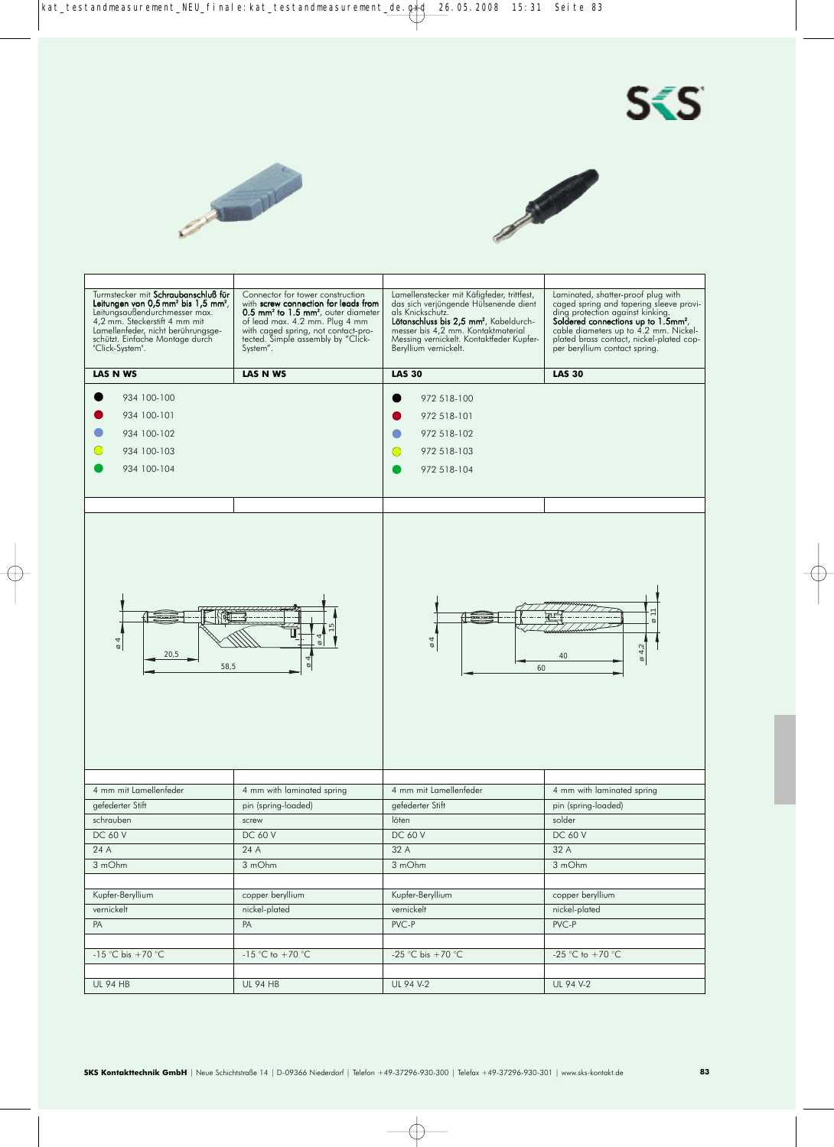





| Turmstecker mit Schraubanschluß für<br>Leitungen von 0,5 mm <sup>2</sup> bis 1,5 mm <sup>2</sup> ,<br>Leitungsaußendurchmesser max.<br>4,2 mm. Steckerstift 4 mm mit<br>Lamellenfeder, nicht berührungsge-<br>schützt. Einfache Montage durch<br>"Click-System". | Connector for tower construction<br>with screw connection for leads from<br>0.5 mm <sup>2</sup> to 1.5 mm <sup>2</sup> , outer diameter<br>of lead max. 4.2 mm. Plug 4 mm<br>with caged spring, not contact-pro-<br>tected. Simple assembly by "Click-<br>System". | Lamellenstecker mit Käfigfeder, trittfest,<br>das sich verjüngende Hülsenende dient<br>als Knickschutz.<br>Lötanschluss bis 2,5 mm <sup>2</sup> , Kabeldurch-<br>messer bis 4,2 mm. Kontaktmaterial<br>Messing vernickelt. Kontaktfeder Kupfer-<br>Beryllium vernickelt. | Laminated, shatter-proof plug with<br>caged spring and tapering sleeve provi-<br>ding protection against kinking.<br>Soldered connections up to 1.5mm <sup>2</sup> ,<br>cable diameters up to 4.2 mm. Nickel-<br>plated brass contact, nickel-plated cop-<br>per beryllium contact spring. |
|------------------------------------------------------------------------------------------------------------------------------------------------------------------------------------------------------------------------------------------------------------------|--------------------------------------------------------------------------------------------------------------------------------------------------------------------------------------------------------------------------------------------------------------------|--------------------------------------------------------------------------------------------------------------------------------------------------------------------------------------------------------------------------------------------------------------------------|--------------------------------------------------------------------------------------------------------------------------------------------------------------------------------------------------------------------------------------------------------------------------------------------|
| <b>LAS N WS</b>                                                                                                                                                                                                                                                  | <b>LAS N WS</b>                                                                                                                                                                                                                                                    | <b>LAS 30</b>                                                                                                                                                                                                                                                            | <b>LAS 30</b>                                                                                                                                                                                                                                                                              |
| 934 100-100<br>934 100-101<br>934 100-102<br>934 100-103<br>934 100-104                                                                                                                                                                                          |                                                                                                                                                                                                                                                                    | 972 518-100<br>972 518-101<br>972 518-102<br>972 518-103<br>972 518-104                                                                                                                                                                                                  |                                                                                                                                                                                                                                                                                            |
| $\overline{6}$<br>20,5<br>58,5                                                                                                                                                                                                                                   | ø<br>$\varnothing$                                                                                                                                                                                                                                                 | 4<br>ø<br>60                                                                                                                                                                                                                                                             | Ø<br>$\varnothing$ 4,2<br>40                                                                                                                                                                                                                                                               |
|                                                                                                                                                                                                                                                                  |                                                                                                                                                                                                                                                                    |                                                                                                                                                                                                                                                                          |                                                                                                                                                                                                                                                                                            |
| 4 mm mit Lamellenfeder                                                                                                                                                                                                                                           | 4 mm with laminated spring                                                                                                                                                                                                                                         | 4 mm mit Lamellenfeder                                                                                                                                                                                                                                                   | 4 mm with laminated spring                                                                                                                                                                                                                                                                 |
| gefederter Stift                                                                                                                                                                                                                                                 | pin (spring-loaded)                                                                                                                                                                                                                                                | gefederter Stift                                                                                                                                                                                                                                                         | pin (spring-loaded)                                                                                                                                                                                                                                                                        |
| schrauben                                                                                                                                                                                                                                                        | screw                                                                                                                                                                                                                                                              | löten                                                                                                                                                                                                                                                                    | solder                                                                                                                                                                                                                                                                                     |
| <b>DC 60 V</b>                                                                                                                                                                                                                                                   | <b>DC 60 V</b>                                                                                                                                                                                                                                                     | <b>DC 60 V</b>                                                                                                                                                                                                                                                           | <b>DC 60 V</b>                                                                                                                                                                                                                                                                             |
| 24 A                                                                                                                                                                                                                                                             | 24 A                                                                                                                                                                                                                                                               | 32 A                                                                                                                                                                                                                                                                     | 32 A                                                                                                                                                                                                                                                                                       |
| $3 \overline{mOhm}$                                                                                                                                                                                                                                              | 3 mOhm                                                                                                                                                                                                                                                             | 3 mOhm                                                                                                                                                                                                                                                                   | 3 mOhm                                                                                                                                                                                                                                                                                     |
|                                                                                                                                                                                                                                                                  |                                                                                                                                                                                                                                                                    |                                                                                                                                                                                                                                                                          |                                                                                                                                                                                                                                                                                            |
| Kupfer-Beryllium                                                                                                                                                                                                                                                 | copper beryllium                                                                                                                                                                                                                                                   | Kupfer-Beryllium                                                                                                                                                                                                                                                         | copper beryllium                                                                                                                                                                                                                                                                           |
| vernickelt                                                                                                                                                                                                                                                       | nickel-plated                                                                                                                                                                                                                                                      | vernickelt                                                                                                                                                                                                                                                               | nickel-plated                                                                                                                                                                                                                                                                              |
| PA                                                                                                                                                                                                                                                               | PA                                                                                                                                                                                                                                                                 | PVC-P                                                                                                                                                                                                                                                                    | PVC-P                                                                                                                                                                                                                                                                                      |
|                                                                                                                                                                                                                                                                  |                                                                                                                                                                                                                                                                    |                                                                                                                                                                                                                                                                          |                                                                                                                                                                                                                                                                                            |
| $-15$ °C bis +70 °C                                                                                                                                                                                                                                              | -15 °C to +70 °C                                                                                                                                                                                                                                                   | -25 °C bis +70 °C                                                                                                                                                                                                                                                        | -25 °C to +70 °C                                                                                                                                                                                                                                                                           |
|                                                                                                                                                                                                                                                                  |                                                                                                                                                                                                                                                                    |                                                                                                                                                                                                                                                                          |                                                                                                                                                                                                                                                                                            |
| <b>UL 94 HB</b>                                                                                                                                                                                                                                                  | <b>UL 94 HB</b>                                                                                                                                                                                                                                                    | UL 94 V-2                                                                                                                                                                                                                                                                | UL 94 V-2                                                                                                                                                                                                                                                                                  |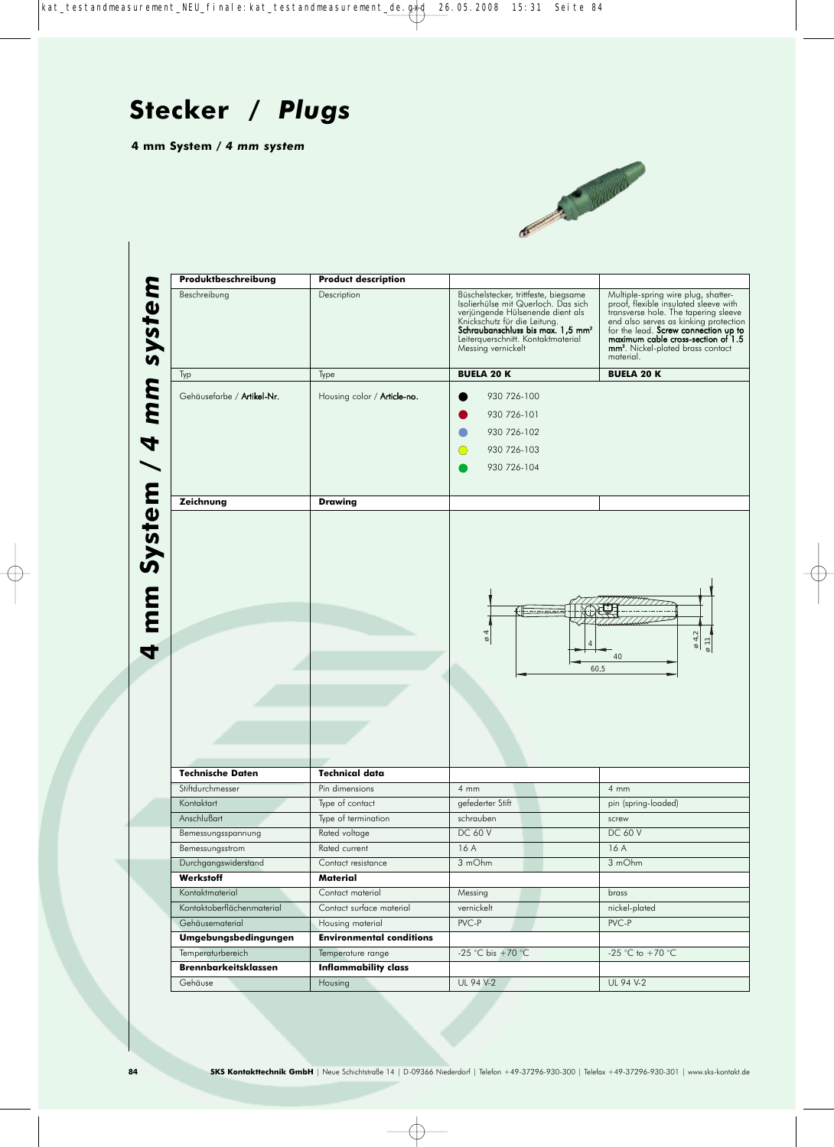**4 mm System /** *4 mm system*



**4 May 3 Mm System Product description**<br> **4 MM System Description**<br> **4 MM System Cehäusefarbe / Artikel-Nr.** Housing color / Article-<br> **1** Type<br> **1** Type<br> **1** Type<br> **1** Type<br> **1** Type<br> **1** Type<br> **1** Type<br> **1** Type<br> **1** Typ Beschreibung Description Büschelstecker, trittfeste, biegsame<br>Isolierhülse mit Querloch. Das sich<br>verjüngende Hülsenende dient als sich als sich als sich veräungende Hülsenende dient als Multiple-spring wire plug, shatter-proof, flexible insulated sleeve with transverse hole. The tapering sleeve Knickschutz für die Leitung.<br>**Schraubanschluss bis max. 1,5 mm<sup>2</sup>** end also serves as kinking protection<br>for the lead. **Screw connection up to maximum cable cross-section of 1.5**<br>**mm<sup>2</sup>**. Nickel-plated brass contact Leiterquerschnitt. Kontaktmat Messing vernickelt material. Typ Type **BUELA 20 K BUELA 20 K** Gehäusefarbe / Artikel-Nr. | Housing color / Article-no. | | 930 726-100 930 726-101 930 726-102  $\bigcap$ 930 726-103 930 726-104 **Zeichnung Drawing TITTIT**  $7772$ ø 4 ø 4,2 ø 11 4 40 60,5 **Technische Daten Technical data** Stiftdurchmesser **Pin dimensions** 4 mm 4 mm 4 mm 4 mm Kontaktart Type of contact gefederter Stift pin (spring-loaded) Anschlußart Type of termination schrauben schrauben schrauben schrauben schrauben schrauben schrauben schrauben Bemessungsspannung Rated voltage DC 60 V DC 60 V DC 60 V Bemessungsstrom Rated current 16 A 16 A 16 A Durchgangswiderstand Contact resistance 3 mOhm 3 mOhm **Werkstoff Material** Kontaktmaterial Contact material Messing brass Kontaktoberflächenmaterial Contact surface material vernickelt nickel-plated Gehäusematerial Housing material PVC-P PVC-P PVC-P **Umgebungsbedingungen Environmental conditions** Temperaturbereich Temperature range -25 °C bis +70 °C -25 °C to +70 °C **Brennbarkeitsklassen Inflammability class** Gehäuse Housing UL 94 V-2 UL 94 V-2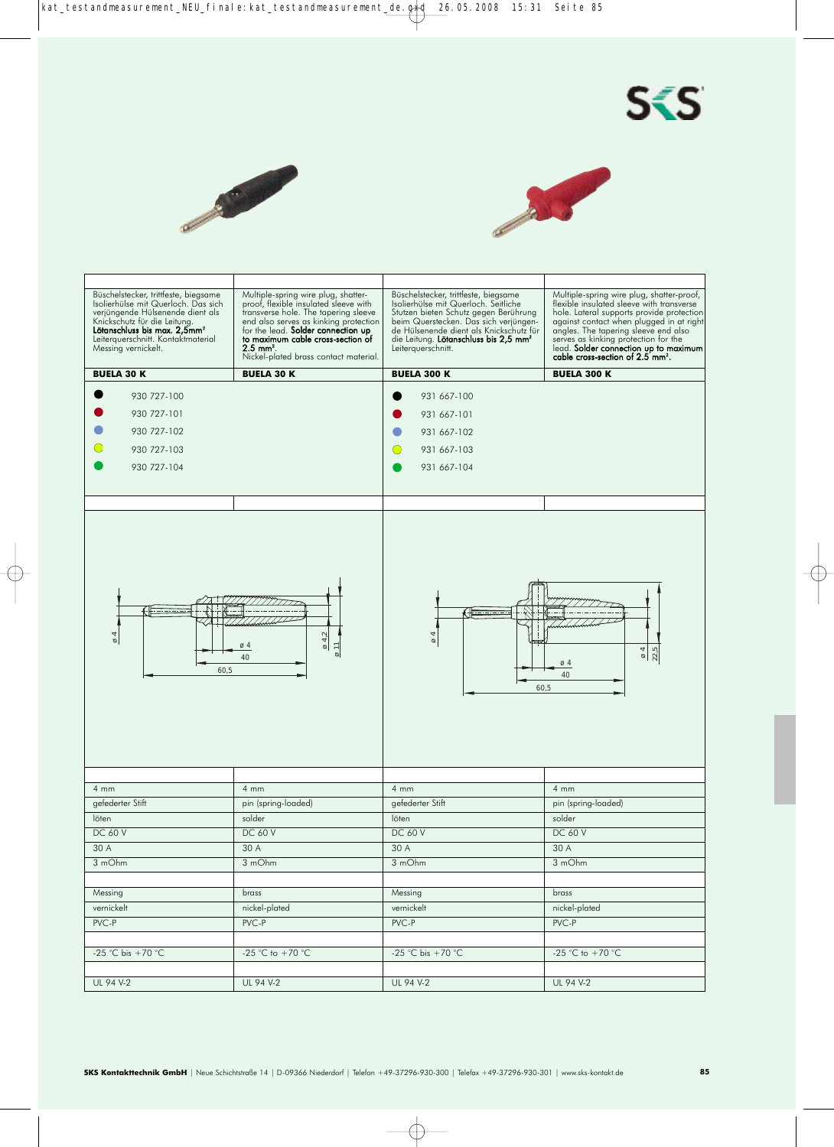





| Büschelstecker, trittfeste, biegsame<br>Isolierhülse mit Querloch. Das sich<br>verjüngende Hülsenende dient als<br>Knickschutz für die Leitung.<br>Lötanschluss bis max. 2,5mm <sup>2</sup><br>Leiterquerschnitt. Kontaktmaterial<br>Messing vernickelt. | Multiple-spring wire plug, shatter-<br>proof, flexible insulated sleeve with<br>transverse hole. The tapering sleeve<br>end also serves as kinking protection<br>for the lead. Solder connection up<br>to maximum cable cross-section of<br>$2.5 \, \text{mm}^2$ .<br>Nickel-plated brass contact material. | Büschelstecker, trittfeste, biegsame<br>Isolierhülse mit Querloch. Seitliche<br>Stutzen bieten Schutz gegen Berührung<br>beim Querstecken. Das sich verjüngen-<br>de Hülsenende dient als Knickschutz für<br>die Leitung. Lötanschluss bis 2,5 mm <sup>2</sup><br>Leiterquerschnitt. | Multiple-spring wire plug, shatter-proof,<br>flexible insulated sleeve with transverse<br>hole. Lateral supports provide protection<br>against contact when plugged in at right<br>angles. The tapering sleeve end also<br>serves as kinking protection for the<br>lead. Solder connection up to maximum<br>cable cross-section of 2.5 mm <sup>2</sup> . |
|----------------------------------------------------------------------------------------------------------------------------------------------------------------------------------------------------------------------------------------------------------|-------------------------------------------------------------------------------------------------------------------------------------------------------------------------------------------------------------------------------------------------------------------------------------------------------------|--------------------------------------------------------------------------------------------------------------------------------------------------------------------------------------------------------------------------------------------------------------------------------------|----------------------------------------------------------------------------------------------------------------------------------------------------------------------------------------------------------------------------------------------------------------------------------------------------------------------------------------------------------|
| <b>BUELA 30 K</b>                                                                                                                                                                                                                                        | <b>BUELA 30 K</b>                                                                                                                                                                                                                                                                                           | <b>BUELA 300 K</b>                                                                                                                                                                                                                                                                   | <b>BUELA 300 K</b>                                                                                                                                                                                                                                                                                                                                       |
| 930 727-100<br>930 727-101<br>930 727-102<br>930 727-103<br>930 727-104                                                                                                                                                                                  |                                                                                                                                                                                                                                                                                                             | 931 667-100<br>931 667-101<br>931 667-102<br>931 667-103<br>931 667-104                                                                                                                                                                                                              |                                                                                                                                                                                                                                                                                                                                                          |
| 4<br>ø<br>60,5                                                                                                                                                                                                                                           | 04,2<br>ø4<br>$\cong$<br>40                                                                                                                                                                                                                                                                                 | $\varnothing$<br>60,5                                                                                                                                                                                                                                                                | 22,5<br>$\frac{8}{4}$<br>$\varnothing$ 4<br>40                                                                                                                                                                                                                                                                                                           |
|                                                                                                                                                                                                                                                          |                                                                                                                                                                                                                                                                                                             |                                                                                                                                                                                                                                                                                      |                                                                                                                                                                                                                                                                                                                                                          |
| $4 \, \text{mm}$                                                                                                                                                                                                                                         | $4 \, \text{mm}$                                                                                                                                                                                                                                                                                            | $4 \, \text{mm}$                                                                                                                                                                                                                                                                     | 4mm                                                                                                                                                                                                                                                                                                                                                      |
| gefederter Stift                                                                                                                                                                                                                                         | pin (spring-loaded)                                                                                                                                                                                                                                                                                         | gefederter Stift                                                                                                                                                                                                                                                                     | pin (spring-loaded)                                                                                                                                                                                                                                                                                                                                      |
| löten                                                                                                                                                                                                                                                    | solder                                                                                                                                                                                                                                                                                                      | löten                                                                                                                                                                                                                                                                                | solder                                                                                                                                                                                                                                                                                                                                                   |
| <b>DC 60 V</b>                                                                                                                                                                                                                                           | <b>DC 60 V</b>                                                                                                                                                                                                                                                                                              | <b>DC 60 V</b>                                                                                                                                                                                                                                                                       | <b>DC 60 V</b>                                                                                                                                                                                                                                                                                                                                           |
| 30 A                                                                                                                                                                                                                                                     | 30 A                                                                                                                                                                                                                                                                                                        | 30 A                                                                                                                                                                                                                                                                                 | 30 A                                                                                                                                                                                                                                                                                                                                                     |
| 3 mOhm                                                                                                                                                                                                                                                   | 3 mOhm                                                                                                                                                                                                                                                                                                      | 3 mOhm                                                                                                                                                                                                                                                                               | 3 mOhm                                                                                                                                                                                                                                                                                                                                                   |
|                                                                                                                                                                                                                                                          |                                                                                                                                                                                                                                                                                                             |                                                                                                                                                                                                                                                                                      |                                                                                                                                                                                                                                                                                                                                                          |
| Messing                                                                                                                                                                                                                                                  | brass                                                                                                                                                                                                                                                                                                       | Messing                                                                                                                                                                                                                                                                              | brass                                                                                                                                                                                                                                                                                                                                                    |
| vernickelt                                                                                                                                                                                                                                               | nickel-plated                                                                                                                                                                                                                                                                                               | vernickelt                                                                                                                                                                                                                                                                           | nickel-plated                                                                                                                                                                                                                                                                                                                                            |
| PVC-P                                                                                                                                                                                                                                                    | PVC-P                                                                                                                                                                                                                                                                                                       | PVC-P                                                                                                                                                                                                                                                                                | PVC-P                                                                                                                                                                                                                                                                                                                                                    |
|                                                                                                                                                                                                                                                          |                                                                                                                                                                                                                                                                                                             |                                                                                                                                                                                                                                                                                      |                                                                                                                                                                                                                                                                                                                                                          |
| -25 °C bis +70 °C                                                                                                                                                                                                                                        | -25 °C to +70 °C                                                                                                                                                                                                                                                                                            | -25 °C bis +70 °C                                                                                                                                                                                                                                                                    | -25 °C to +70 °C                                                                                                                                                                                                                                                                                                                                         |
|                                                                                                                                                                                                                                                          |                                                                                                                                                                                                                                                                                                             |                                                                                                                                                                                                                                                                                      |                                                                                                                                                                                                                                                                                                                                                          |
| UL 94 V-2                                                                                                                                                                                                                                                | UL 94 V-2                                                                                                                                                                                                                                                                                                   | UL 94 V-2                                                                                                                                                                                                                                                                            | UL 94 V-2                                                                                                                                                                                                                                                                                                                                                |
|                                                                                                                                                                                                                                                          |                                                                                                                                                                                                                                                                                                             |                                                                                                                                                                                                                                                                                      |                                                                                                                                                                                                                                                                                                                                                          |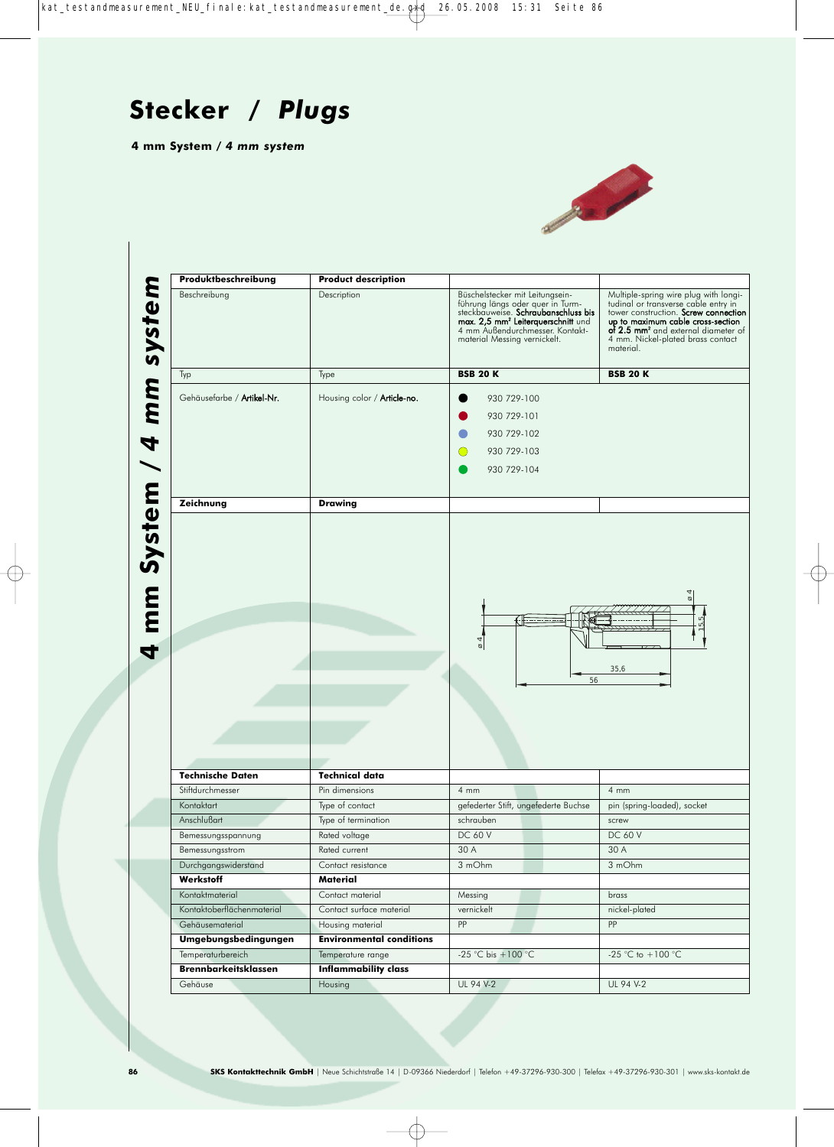

| Produktbeschreibung                    | <b>Product description</b>             |                                                                                                                                                                                                                                 |                                                                                                                                                                                                                                                                 |
|----------------------------------------|----------------------------------------|---------------------------------------------------------------------------------------------------------------------------------------------------------------------------------------------------------------------------------|-----------------------------------------------------------------------------------------------------------------------------------------------------------------------------------------------------------------------------------------------------------------|
| Beschreibung                           | Description                            | Büschelstecker mit Leitungsein-<br>führung längs oder quer in Turm-<br>steckbauweise. Schraubanschluss bis<br>max. 2,5 mm <sup>2</sup> Leiterquerschnitt und<br>4 mm Außendurchmesser. Kontakt-<br>material Messing vernickelt. | Multiple-spring wire plug with longi-<br>tudinal or transverse cable entry in<br>tower construction. Screw connection<br>up to maximum cable cross-section<br>of 2.5 mm <sup>2</sup> and external diameter of<br>4 mm. Nickel-plated brass contact<br>material. |
| Typ                                    | Type                                   | <b>BSB 20 K</b>                                                                                                                                                                                                                 | <b>BSB 20 K</b>                                                                                                                                                                                                                                                 |
| Gehäusefarbe / Artikel-Nr.             | Housing color / <b>Article-no.</b>     | 930 729-100                                                                                                                                                                                                                     |                                                                                                                                                                                                                                                                 |
|                                        |                                        | 930 729-101                                                                                                                                                                                                                     |                                                                                                                                                                                                                                                                 |
|                                        |                                        | 930 729-102                                                                                                                                                                                                                     |                                                                                                                                                                                                                                                                 |
|                                        |                                        | 930 729-103                                                                                                                                                                                                                     |                                                                                                                                                                                                                                                                 |
|                                        |                                        |                                                                                                                                                                                                                                 |                                                                                                                                                                                                                                                                 |
|                                        |                                        | 930 729-104                                                                                                                                                                                                                     |                                                                                                                                                                                                                                                                 |
| Zeichnung                              | <b>Drawing</b>                         |                                                                                                                                                                                                                                 |                                                                                                                                                                                                                                                                 |
|                                        |                                        | $\overline{6}$<br>56                                                                                                                                                                                                            | 4<br>ø<br>ပျ<br>ပျ<br>35,6                                                                                                                                                                                                                                      |
| <b>Technische Daten</b>                | <b>Technical data</b>                  |                                                                                                                                                                                                                                 |                                                                                                                                                                                                                                                                 |
| Stiftdurchmesser                       | Pin dimensions                         | 4mm                                                                                                                                                                                                                             | 4mm                                                                                                                                                                                                                                                             |
| Kontaktart                             | Type of contact                        | gefederter Stift, ungefederte Buchse                                                                                                                                                                                            | pin (spring-loaded), socket                                                                                                                                                                                                                                     |
| Anschlußart                            | Type of termination                    | schrauben                                                                                                                                                                                                                       | screw                                                                                                                                                                                                                                                           |
| Bemessungsspannung                     | Rated voltage                          | DC 60 V                                                                                                                                                                                                                         | DC 60 V                                                                                                                                                                                                                                                         |
| Bemessungsstrom                        | Rated current                          | 30 A                                                                                                                                                                                                                            | 30 A                                                                                                                                                                                                                                                            |
| Durchgangswiderstand                   | Contact resistance                     | 3 mOhm                                                                                                                                                                                                                          | 3 mOhm                                                                                                                                                                                                                                                          |
| Werkstoff                              | Material                               |                                                                                                                                                                                                                                 |                                                                                                                                                                                                                                                                 |
| Kontaktmaterial                        |                                        |                                                                                                                                                                                                                                 |                                                                                                                                                                                                                                                                 |
|                                        | Contact material                       | Messing                                                                                                                                                                                                                         | brass                                                                                                                                                                                                                                                           |
| Kontaktoberflächenmaterial             | Contact surface material               | vernickelt                                                                                                                                                                                                                      | nickel-plated                                                                                                                                                                                                                                                   |
| Gehäusematerial                        | Housing material                       | PP                                                                                                                                                                                                                              | PP                                                                                                                                                                                                                                                              |
| Umgebungsbedingungen                   | <b>Environmental conditions</b>        |                                                                                                                                                                                                                                 |                                                                                                                                                                                                                                                                 |
| Temperaturbereich                      | Temperature range                      | -25 °C bis +100 °C                                                                                                                                                                                                              | -25 °C to $+100$ °C                                                                                                                                                                                                                                             |
| <b>Brennbarkeitsklassen</b><br>Gehäuse | <b>Inflammability class</b><br>Housing | UL 94 V-2                                                                                                                                                                                                                       | UL 94 V-2                                                                                                                                                                                                                                                       |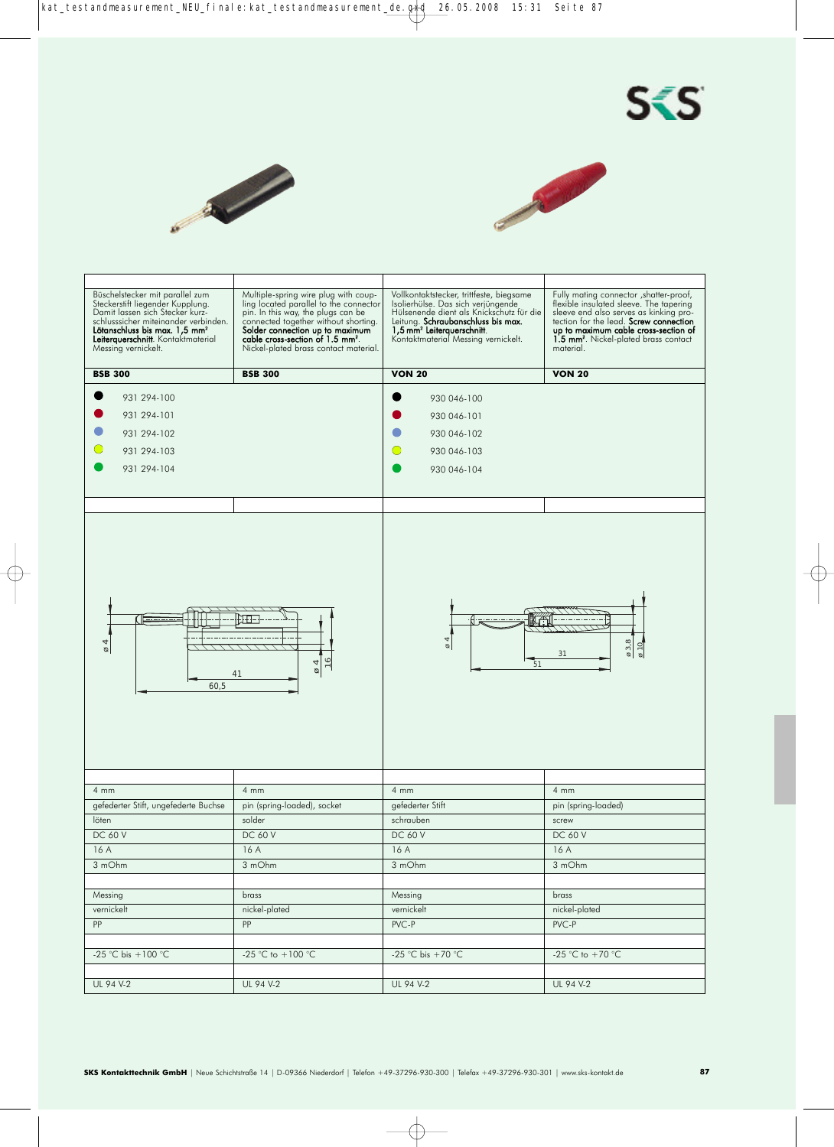





| Büschelstecker mit parallel zum<br>Steckerstift liegender Kupplung.<br>Damit lassen sich Stecker kurz-<br>schlusssicher miteinander verbinden.<br>Lötanschluss bis max. 1,5 mm <sup>2</sup><br>Leiterquerschnitt. Kontaktmaterial<br>Messing vernickelt. | Multiple-spring wire plug with coup-<br>ling located parallel to the connector<br>pin. In this way, the plugs can be<br>connected together without shorting.<br>Solder connection up to maximum<br>cable cross-section of 1.5 mm <sup>2</sup> .<br>Nickel-plated brass contact material. | Vollkontaktstecker, trittfeste, biegsame<br>Isolierhülse. Das sich verjüngende<br>Hülsenende dient als Knickschutz für die<br>Leitung. Schraubanschluss bis max.<br>1,5 mm <sup>2</sup> Leiterquerschnitt.<br>Kontaktmaterial Messing vernickelt. | Fully mating connector , shatter-proof,<br>flexible insulated sleeve. The tapering<br>sleeve end also serves as kinking pro-<br>tection for the lead. Screw connection<br>up to maximum cable cross-section of<br>1.5 mm <sup>2</sup> . Nickel-plated brass contact<br>material. |
|----------------------------------------------------------------------------------------------------------------------------------------------------------------------------------------------------------------------------------------------------------|------------------------------------------------------------------------------------------------------------------------------------------------------------------------------------------------------------------------------------------------------------------------------------------|---------------------------------------------------------------------------------------------------------------------------------------------------------------------------------------------------------------------------------------------------|----------------------------------------------------------------------------------------------------------------------------------------------------------------------------------------------------------------------------------------------------------------------------------|
| <b>BSB 300</b>                                                                                                                                                                                                                                           | <b>BSB 300</b>                                                                                                                                                                                                                                                                           | <b>VON 20</b>                                                                                                                                                                                                                                     | <b>VON 20</b>                                                                                                                                                                                                                                                                    |
| 931 294-100<br>931 294-101<br>931 294-102<br>931 294-103<br>931 294-104                                                                                                                                                                                  |                                                                                                                                                                                                                                                                                          | 930 046-100<br>930 046-101<br>930 046-102<br>930 046-103<br>930 046-104                                                                                                                                                                           |                                                                                                                                                                                                                                                                                  |
| 4<br>ø<br>60,5                                                                                                                                                                                                                                           | $\varnothing$<br>41                                                                                                                                                                                                                                                                      | $\overline{\circ}$<br>51                                                                                                                                                                                                                          | $\varnothing$ 3,8<br>$\frac{\varphi}{2}$<br>31                                                                                                                                                                                                                                   |
| $4 \text{ mm}$                                                                                                                                                                                                                                           | $4 \, \text{mm}$                                                                                                                                                                                                                                                                         | $4 \, \text{mm}$                                                                                                                                                                                                                                  | $4 \, \text{mm}$                                                                                                                                                                                                                                                                 |
| gefederter Stift, ungefederte Buchse                                                                                                                                                                                                                     | pin (spring-loaded), socket                                                                                                                                                                                                                                                              | gefederter Stift                                                                                                                                                                                                                                  | pin (spring-loaded)                                                                                                                                                                                                                                                              |
| löten                                                                                                                                                                                                                                                    | solder                                                                                                                                                                                                                                                                                   | schrauben                                                                                                                                                                                                                                         | screw                                                                                                                                                                                                                                                                            |
| <b>DC 60 V</b>                                                                                                                                                                                                                                           | DC 60 V                                                                                                                                                                                                                                                                                  | <b>DC 60 V</b>                                                                                                                                                                                                                                    | DC 60 V                                                                                                                                                                                                                                                                          |
| 16 A                                                                                                                                                                                                                                                     | 16 A                                                                                                                                                                                                                                                                                     | 16 A                                                                                                                                                                                                                                              | 16 A                                                                                                                                                                                                                                                                             |
| 3 mOhm                                                                                                                                                                                                                                                   | 3 mOhm                                                                                                                                                                                                                                                                                   | 3 mOhm                                                                                                                                                                                                                                            | 3 mOhm                                                                                                                                                                                                                                                                           |
|                                                                                                                                                                                                                                                          |                                                                                                                                                                                                                                                                                          |                                                                                                                                                                                                                                                   |                                                                                                                                                                                                                                                                                  |
| Messing                                                                                                                                                                                                                                                  | brass                                                                                                                                                                                                                                                                                    | Messing                                                                                                                                                                                                                                           | brass                                                                                                                                                                                                                                                                            |
| vernickelt                                                                                                                                                                                                                                               | nickel-plated                                                                                                                                                                                                                                                                            | vernickelt                                                                                                                                                                                                                                        | nickel-plated                                                                                                                                                                                                                                                                    |
| PP                                                                                                                                                                                                                                                       | PP                                                                                                                                                                                                                                                                                       | PVC-P                                                                                                                                                                                                                                             | PVC-P                                                                                                                                                                                                                                                                            |
|                                                                                                                                                                                                                                                          |                                                                                                                                                                                                                                                                                          |                                                                                                                                                                                                                                                   |                                                                                                                                                                                                                                                                                  |
| -25 °C bis +100 °C                                                                                                                                                                                                                                       | -25 °C to $+100$ °C                                                                                                                                                                                                                                                                      | -25 °C bis +70 °C                                                                                                                                                                                                                                 | -25 °C to +70 °C                                                                                                                                                                                                                                                                 |
|                                                                                                                                                                                                                                                          |                                                                                                                                                                                                                                                                                          |                                                                                                                                                                                                                                                   |                                                                                                                                                                                                                                                                                  |
| UL 94 V-2                                                                                                                                                                                                                                                | UL 94 V-2                                                                                                                                                                                                                                                                                | UL 94 V-2                                                                                                                                                                                                                                         | UL 94 V-2                                                                                                                                                                                                                                                                        |
|                                                                                                                                                                                                                                                          |                                                                                                                                                                                                                                                                                          |                                                                                                                                                                                                                                                   |                                                                                                                                                                                                                                                                                  |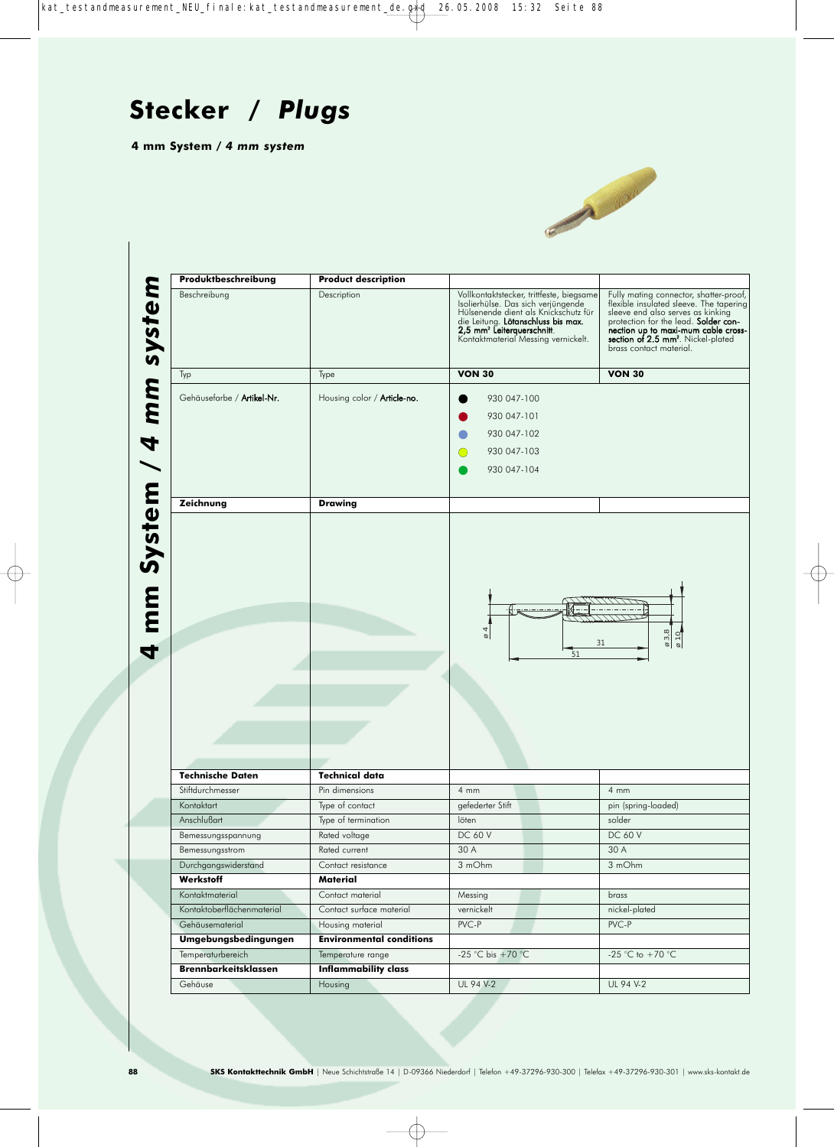

|                                           | <b>Product description</b>                           |                                                                                                                                                                                                                                               |                                                                                                                                                                                                                                                                                          |
|-------------------------------------------|------------------------------------------------------|-----------------------------------------------------------------------------------------------------------------------------------------------------------------------------------------------------------------------------------------------|------------------------------------------------------------------------------------------------------------------------------------------------------------------------------------------------------------------------------------------------------------------------------------------|
| Beschreibung                              | Description                                          | Vollkontaktstecker, trittfeste, biegsame<br>Isolierhülse. Das sich verjüngende<br>Hülsenende dient als Knickschutz für<br>die Leitung. Lötanschluss bis max.<br>2,5 mm <sup>2</sup> Leiterquerschnitt.<br>Kontaktmaterial Messing vernickelt. | Fully mating connector, shatter-proof,<br>flexible insulated sleeve. The tapering<br>sleeve end also serves as kinking<br>protection for the lead. <b>Solder con</b><br>nection up to maxi-mum cable cross-<br>section of 2.5 mm <sup>2</sup> . Nickel-plated<br>brass contact material. |
| Typ                                       | Type                                                 | <b>VON 30</b>                                                                                                                                                                                                                                 | <b>VON 30</b>                                                                                                                                                                                                                                                                            |
| Gehäusefarbe / Artikel-Nr.                | Housing color / <b>Article-no.</b>                   | 930 047-100                                                                                                                                                                                                                                   |                                                                                                                                                                                                                                                                                          |
|                                           |                                                      | 930 047-101                                                                                                                                                                                                                                   |                                                                                                                                                                                                                                                                                          |
|                                           |                                                      | 930 047-102                                                                                                                                                                                                                                   |                                                                                                                                                                                                                                                                                          |
|                                           |                                                      | 930 047-103<br>O                                                                                                                                                                                                                              |                                                                                                                                                                                                                                                                                          |
|                                           |                                                      |                                                                                                                                                                                                                                               |                                                                                                                                                                                                                                                                                          |
|                                           |                                                      | 930 047-104                                                                                                                                                                                                                                   |                                                                                                                                                                                                                                                                                          |
| Zeichnung                                 | <b>Drawing</b>                                       |                                                                                                                                                                                                                                               |                                                                                                                                                                                                                                                                                          |
|                                           |                                                      | $\overline{6}$ 4                                                                                                                                                                                                                              | $\begin{array}{r} 03,8 \\ \hline 010 \end{array}$                                                                                                                                                                                                                                        |
|                                           |                                                      |                                                                                                                                                                                                                                               |                                                                                                                                                                                                                                                                                          |
|                                           |                                                      | 51                                                                                                                                                                                                                                            | 31                                                                                                                                                                                                                                                                                       |
| <b>Technische Daten</b>                   | <b>Technical data</b>                                |                                                                                                                                                                                                                                               |                                                                                                                                                                                                                                                                                          |
| Stiftdurchmesser                          | Pin dimensions                                       | 4mm                                                                                                                                                                                                                                           | $4 \, mm$                                                                                                                                                                                                                                                                                |
| Kontaktart                                | Type of contact                                      | gefederter Stift                                                                                                                                                                                                                              | pin (spring-loaded)                                                                                                                                                                                                                                                                      |
| Anschlußart                               | Type of termination                                  | löten                                                                                                                                                                                                                                         | solder                                                                                                                                                                                                                                                                                   |
| Bemessungsspannung                        | Rated voltage                                        | DC 60 V                                                                                                                                                                                                                                       | DC 60 V                                                                                                                                                                                                                                                                                  |
| Bemessungsstrom                           | Rated current                                        | 30 A                                                                                                                                                                                                                                          | 30 A                                                                                                                                                                                                                                                                                     |
| Durchgangswiderstand                      | Contact resistance                                   | 3 mOhm                                                                                                                                                                                                                                        | 3 mOhm                                                                                                                                                                                                                                                                                   |
| Werkstoff                                 | Material                                             |                                                                                                                                                                                                                                               |                                                                                                                                                                                                                                                                                          |
| Kontaktmaterial                           | Contact material                                     | Messing                                                                                                                                                                                                                                       | brass                                                                                                                                                                                                                                                                                    |
| Kontaktoberflächenmaterial                | Contact surface material                             | vernickelt                                                                                                                                                                                                                                    | nickel-plated                                                                                                                                                                                                                                                                            |
| Gehäusematerial                           | Housing material                                     | PVC-P                                                                                                                                                                                                                                         | PVC-P                                                                                                                                                                                                                                                                                    |
| Umgebungsbedingungen<br>Temperaturbereich | <b>Environmental conditions</b><br>Temperature range | -25 °C bis +70 °C                                                                                                                                                                                                                             | -25 °C to +70 °C                                                                                                                                                                                                                                                                         |
| <b>Brennbarkeitsklassen</b>               | <b>Inflammability class</b>                          |                                                                                                                                                                                                                                               |                                                                                                                                                                                                                                                                                          |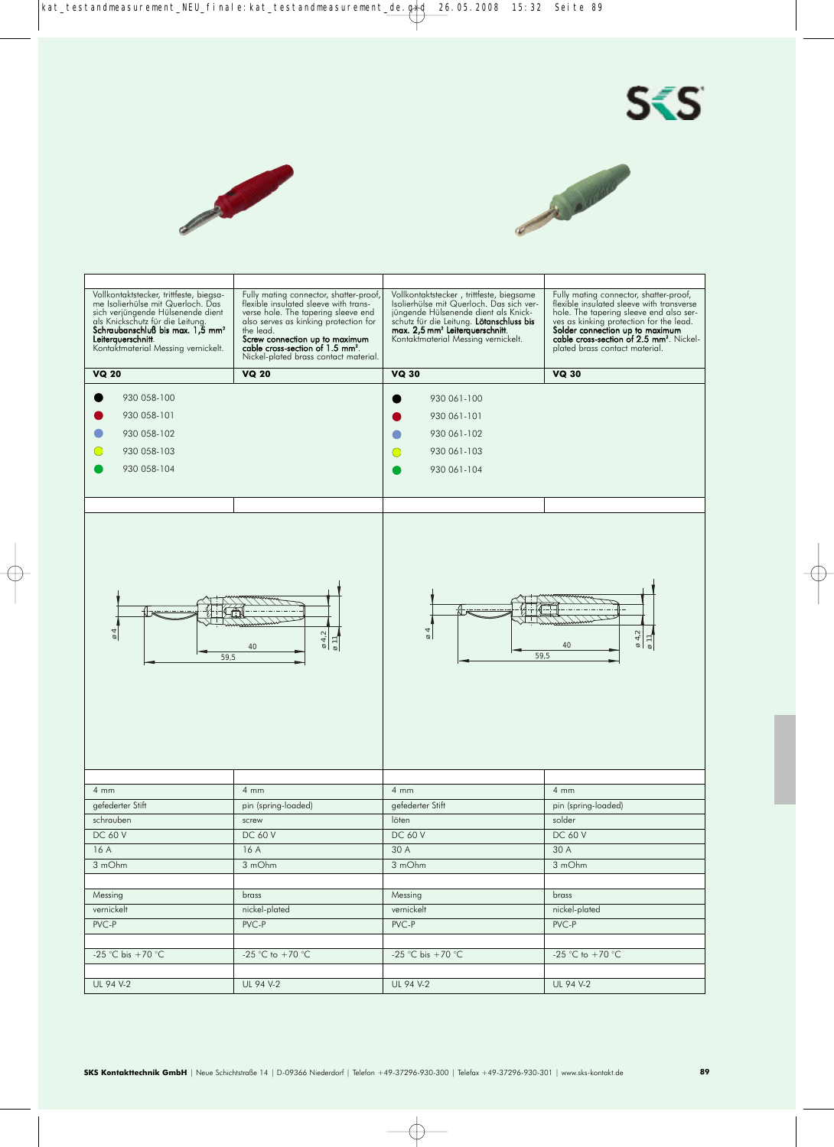





| Vollkontaktstecker, trittfeste, biegsa-<br>me Isolierhülse mit Querloch. Das<br>sich verjüngende Hülsenende dient<br>als Knickschutz für die Leitung.<br>Schraubanschluß bis max. 1,5 mm <sup>2</sup><br>Leiterquerschnitt.<br>Kontaktmaterial Messing vernickelt. | Fully mating connector, shatter-proof,<br>flexible insulated sleeve with trans-<br>verse hole. The tapering sleeve end<br>also serves as kinking protection for<br>the lead.<br>Screw connection up to maximum<br>cable cross-section of 1.5 mm <sup>2</sup> .<br>Nickel-plated brass contact material. | Vollkontaktstecker, trittfeste, biegsame<br>Isolierhülse mit Querloch. Das sich ver-<br>jüngende Hülsenende dient als Knick-<br>schutz für die Leitung. Lötanschluss bis<br>max. 2,5 mm <sup>2</sup> Leiterquerschnitt.<br>Kontaktmaterial Messing vernickelt. | Fully mating connector, shatter-proof,<br>flexible insulated sleeve with transverse<br>hole. The tapering sleeve end also ser-<br>ves as kinking protection for the lead.<br>Solder connection up to maximum<br>cable cross-section of 2.5 mm <sup>2</sup> . Nickel-<br>plated brass contact material. |
|--------------------------------------------------------------------------------------------------------------------------------------------------------------------------------------------------------------------------------------------------------------------|---------------------------------------------------------------------------------------------------------------------------------------------------------------------------------------------------------------------------------------------------------------------------------------------------------|----------------------------------------------------------------------------------------------------------------------------------------------------------------------------------------------------------------------------------------------------------------|--------------------------------------------------------------------------------------------------------------------------------------------------------------------------------------------------------------------------------------------------------------------------------------------------------|
| <b>VQ 20</b>                                                                                                                                                                                                                                                       | <b>VQ 20</b>                                                                                                                                                                                                                                                                                            | <b>VQ 30</b>                                                                                                                                                                                                                                                   | <b>VQ 30</b>                                                                                                                                                                                                                                                                                           |
| 930 058-100<br>930 058-101<br>930 058-102<br>930 058-103<br>930 058-104                                                                                                                                                                                            |                                                                                                                                                                                                                                                                                                         | 930 061-100<br>930 061-101<br>930 061-102<br>930 061-103<br>930 061-104                                                                                                                                                                                        |                                                                                                                                                                                                                                                                                                        |
|                                                                                                                                                                                                                                                                    |                                                                                                                                                                                                                                                                                                         |                                                                                                                                                                                                                                                                |                                                                                                                                                                                                                                                                                                        |
| $\overline{6}$<br>59,5                                                                                                                                                                                                                                             | $\sigma$ 4,2<br>$\varnothing$ 11<br>40                                                                                                                                                                                                                                                                  | $\varnothing$ 4<br>59,5                                                                                                                                                                                                                                        | $\begin{array}{c} \hline \emptyset \end{array}$ 4,2<br>$\varnothing$ 11<br>40                                                                                                                                                                                                                          |
| 4mm                                                                                                                                                                                                                                                                | $4 \, \text{mm}$                                                                                                                                                                                                                                                                                        | $4 \, \text{mm}$                                                                                                                                                                                                                                               | 4mm                                                                                                                                                                                                                                                                                                    |
| gefederter Stift                                                                                                                                                                                                                                                   | pin (spring-loaded)                                                                                                                                                                                                                                                                                     | gefederter Stift                                                                                                                                                                                                                                               | pin (spring-loaded)                                                                                                                                                                                                                                                                                    |
| schrauben                                                                                                                                                                                                                                                          | screw                                                                                                                                                                                                                                                                                                   | löten                                                                                                                                                                                                                                                          | solder                                                                                                                                                                                                                                                                                                 |
| DC 60 V                                                                                                                                                                                                                                                            | DC 60 V                                                                                                                                                                                                                                                                                                 | DC 60 V                                                                                                                                                                                                                                                        | DC 60 V                                                                                                                                                                                                                                                                                                |
| 16 A                                                                                                                                                                                                                                                               | 16A                                                                                                                                                                                                                                                                                                     | 30 A                                                                                                                                                                                                                                                           | 30 A                                                                                                                                                                                                                                                                                                   |
| 3 mOhm                                                                                                                                                                                                                                                             | 3 mOhm                                                                                                                                                                                                                                                                                                  | 3 mOhm                                                                                                                                                                                                                                                         | 3 mOhm                                                                                                                                                                                                                                                                                                 |
|                                                                                                                                                                                                                                                                    |                                                                                                                                                                                                                                                                                                         |                                                                                                                                                                                                                                                                |                                                                                                                                                                                                                                                                                                        |
| Messing                                                                                                                                                                                                                                                            | brass                                                                                                                                                                                                                                                                                                   | Messing                                                                                                                                                                                                                                                        | brass                                                                                                                                                                                                                                                                                                  |
| vernickelt                                                                                                                                                                                                                                                         | nickel-plated                                                                                                                                                                                                                                                                                           | vernickelt                                                                                                                                                                                                                                                     | nickel-plated                                                                                                                                                                                                                                                                                          |
| PVC-P                                                                                                                                                                                                                                                              | PVC-P                                                                                                                                                                                                                                                                                                   | PVC-P                                                                                                                                                                                                                                                          | PVC-P                                                                                                                                                                                                                                                                                                  |
|                                                                                                                                                                                                                                                                    |                                                                                                                                                                                                                                                                                                         |                                                                                                                                                                                                                                                                |                                                                                                                                                                                                                                                                                                        |
|                                                                                                                                                                                                                                                                    |                                                                                                                                                                                                                                                                                                         |                                                                                                                                                                                                                                                                |                                                                                                                                                                                                                                                                                                        |
| -25 $\overline{C}$ bis +70 $\overline{C}$                                                                                                                                                                                                                          | -25 °C to +70 °C                                                                                                                                                                                                                                                                                        | -25 °C bis +70 °C                                                                                                                                                                                                                                              | -25 °C to +70 °C                                                                                                                                                                                                                                                                                       |
|                                                                                                                                                                                                                                                                    |                                                                                                                                                                                                                                                                                                         |                                                                                                                                                                                                                                                                |                                                                                                                                                                                                                                                                                                        |
| UL 94 V-2                                                                                                                                                                                                                                                          | UL 94 V-2                                                                                                                                                                                                                                                                                               | UL 94 V-2                                                                                                                                                                                                                                                      | UL 94 V-2                                                                                                                                                                                                                                                                                              |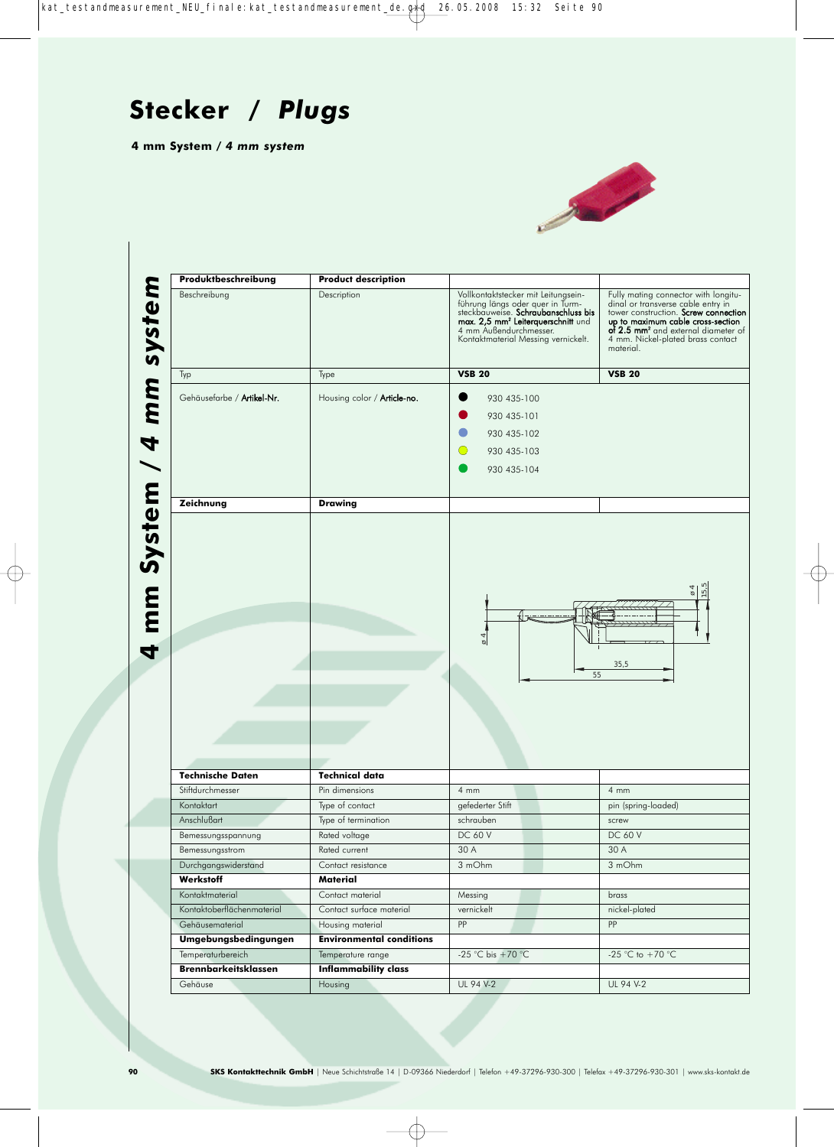

| Produktbeschreibung                   | <b>Product description</b>           |                                                                                                                                                                                                                                   |                                                                                                                                                                                                                                                              |
|---------------------------------------|--------------------------------------|-----------------------------------------------------------------------------------------------------------------------------------------------------------------------------------------------------------------------------------|--------------------------------------------------------------------------------------------------------------------------------------------------------------------------------------------------------------------------------------------------------------|
| Beschreibung                          | Description                          | Vollkontaktstecker mit Leitungsein-<br>führung längs oder quer in Turm-<br>steckbauweise. Schraubanschluss bis<br>max. 2,5 mm <sup>2</sup> Leiterquerschnitt und<br>4 mm Außendurchmesser.<br>Kontaktmaterial Messing vernickelt. | Fully mating connector with longitu-<br>dinal or transverse cable entry in<br>tower construction. Screw connection<br>up to maximum cable cross-section<br>of 2.5 mm <sup>2</sup> and external diameter of<br>4 mm. Nickel-plated brass contact<br>material. |
| Typ                                   | Type                                 | <b>VSB 20</b>                                                                                                                                                                                                                     | <b>VSB 20</b>                                                                                                                                                                                                                                                |
| Gehäusefarbe / Artikel-Nr.            | Housing color / <b>Article-no.</b>   | 930 435-100<br>930 435-101<br>930 435-102<br>O<br>930 435-103<br>930 435-104                                                                                                                                                      |                                                                                                                                                                                                                                                              |
| Zeichnung                             | <b>Drawing</b>                       |                                                                                                                                                                                                                                   |                                                                                                                                                                                                                                                              |
|                                       |                                      | $\overline{6}$<br>55                                                                                                                                                                                                              | 35,5                                                                                                                                                                                                                                                         |
| <b>Technische Daten</b>               | <b>Technical data</b>                |                                                                                                                                                                                                                                   |                                                                                                                                                                                                                                                              |
| Stiftdurchmesser                      | Pin dimensions                       | 4mm                                                                                                                                                                                                                               | 4mm                                                                                                                                                                                                                                                          |
| Kontaktart                            | Type of contact                      | gefederter Stift                                                                                                                                                                                                                  | pin (spring-loaded)                                                                                                                                                                                                                                          |
| Anschlußart                           | Type of termination<br>Rated voltage | schrauben<br><b>DC 60 V</b>                                                                                                                                                                                                       | screw<br><b>DC 60 V</b>                                                                                                                                                                                                                                      |
| Bemessungsspannung<br>Bemessungsstrom | Rated current                        | 30 A                                                                                                                                                                                                                              | 30 A                                                                                                                                                                                                                                                         |
| Durchgangswiderstand                  | Contact resistance                   | 3 mOhm                                                                                                                                                                                                                            | 3 mOhm                                                                                                                                                                                                                                                       |
| Werkstoff                             | Material                             |                                                                                                                                                                                                                                   |                                                                                                                                                                                                                                                              |
| Kontaktmaterial                       | Contact material                     | Messing                                                                                                                                                                                                                           | brass                                                                                                                                                                                                                                                        |
| Kontaktoberflächenmaterial            | Contact surface material             | vernickelt                                                                                                                                                                                                                        | nickel-plated                                                                                                                                                                                                                                                |
| Gehäusematerial                       | Housing material                     | PP                                                                                                                                                                                                                                | PP                                                                                                                                                                                                                                                           |
| Umgebungsbedingungen                  | <b>Environmental conditions</b>      |                                                                                                                                                                                                                                   |                                                                                                                                                                                                                                                              |
| Temperaturbereich                     | Temperature range                    | -25 °C bis +70 °C                                                                                                                                                                                                                 | -25 $\overline{C}$ to +70 $\overline{C}$                                                                                                                                                                                                                     |
| <b>Brennbarkeitsklassen</b>           | <b>Inflammability class</b>          |                                                                                                                                                                                                                                   |                                                                                                                                                                                                                                                              |
| Gehäuse                               | Housing                              | UL 94 V-2                                                                                                                                                                                                                         | UL 94 V-2                                                                                                                                                                                                                                                    |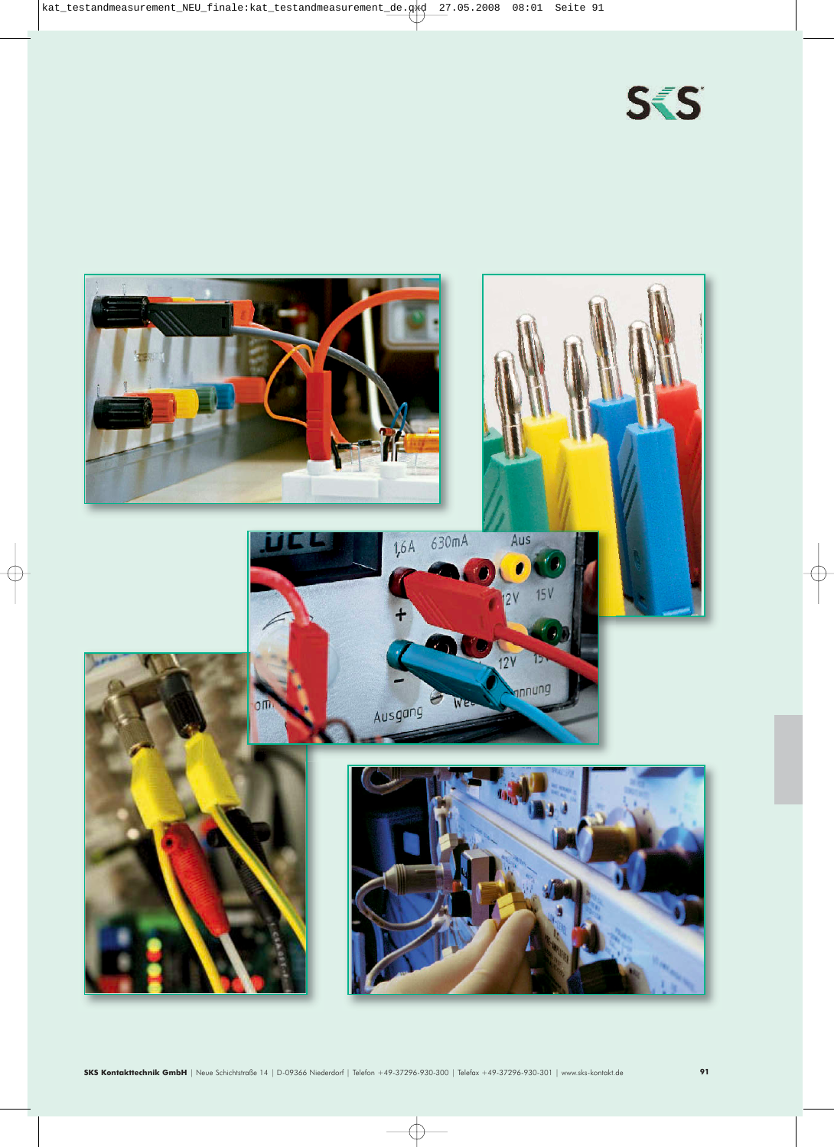

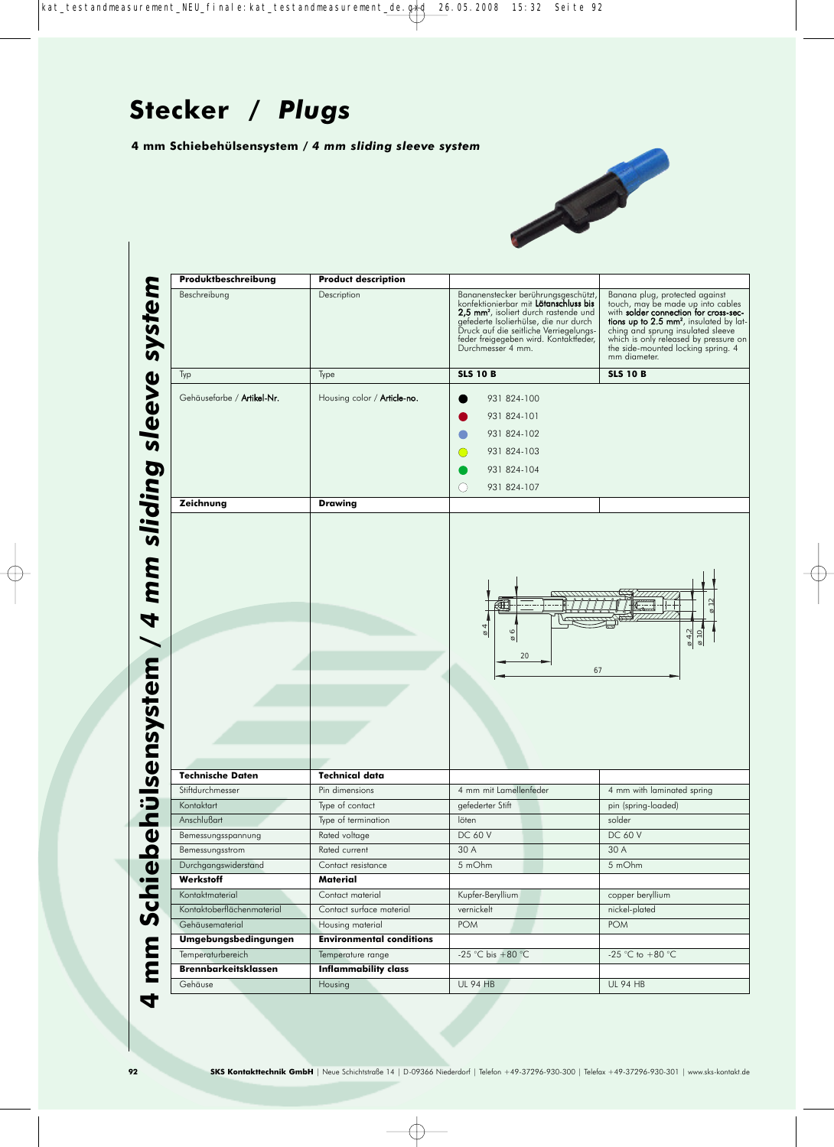**4 mm Schiebehülsensystem /** *4 mm sliding sleeve system*



**2 mm Schiebeschreibung**<br> **4 mm sleeping and the metallistic (Article Product description**<br> **4 mm sleeping and the metallistic (Article Product Article Product and Article Production Schedule (Article Production Schedule** Beschreibung Description Bananenstecker berührungsgeschützt,<br>Ronfektionier bis 2,5 mm<sup>2</sup>, isoliert durch rastende und<br>2,5 mm<sup>2</sup>, isoliert durch rastende und Banana plug, protected against<br>touch, may be made up into cables<br>with **solder connection for cross-sec-**<br>**tions up to 2.5 mm<sup>2</sup>, insulated by lat-<br>ching and sprung insulated sleeve<br>which is only released by pressure on<br>the** gefederte Isolierhülse, die nur durch Druck auf die seitliche Verriegelungs - feder freigegeben wird. Kontaktfeder, Durchmesser 4 mm. mm diameter. Typ Type **SLS 10 B SLS 10 B** Gehäusefarbe / Artikel-Nr. | Housing color / Article-no. | | 931 824-100 931 824-101 931 824-102 931 824-103  $\bigcap$ 931 824-104  $\bigcirc$ 931 824-107 **Zeichnung Drawing** ø 12 ø 4 ø 6 ø 4,2 ø 10 20 67 **Technische Daten Technical data** Stiftdurchmesser **Pin dimensions** Pin dimensions 4 mm mit Lamellenfeder 4 mm with laminated spring Kontaktart Type of contact gefederter Stift pin (spring-loaded) Anschlußart Type of termination löten solder solder Bemessungsspannung Rated voltage DC 60 V DC 60 V DC 60 V Bemessungsstrom Rated current 30 A 30 A 30 A Durchgangswiderstand Contact resistance 5 mOhm 5 mOhm **Werkstoff Material** Kontaktmaterial Contact material Kupfer-Beryllium copper beryllium copper beryllium Kontaktoberflächenmaterial Contact surface material vernickelt vernickelt nickel-plated Gehäusematerial Housing material POM POM **Umgebungsbedingungen Environmental conditions** Temperaturbereich Temperature range -25 °C bis +80 °C -25 °C to +80 °C **Brennbarkeitsklassen Inflammability class** Gehäuse Housing UL 94 HB UL 94 HB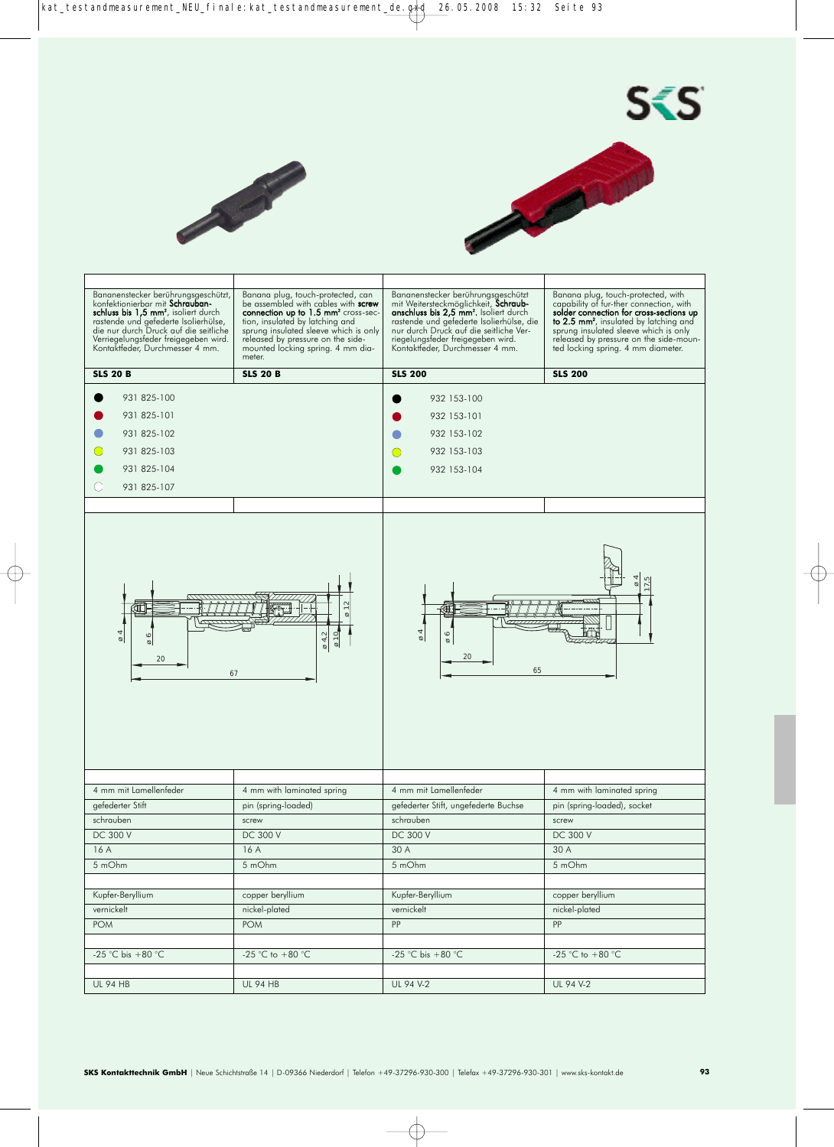



 $S<sub>S</sub>$ 

| Banana plug, touch-protected, can<br>Bananenstecker berührungsgeschützt<br>Banana plug, touch-protected, with<br>Bananenstecker berührungsgeschützt,<br>konfektionierbar mit Schrauban-<br>capability of fur-ther connection, with<br>be assembled with cables with screw<br>mit Weitersteckmöglichkeit, Schraub-<br>schluss bis 1,5 mm <sup>2</sup> , isoliert durch<br>anschluss bis 2,5 mm <sup>2</sup> . Isoliert durch<br>solder connection for cross-sections up<br>connection up to 1.5 mm <sup>2</sup> cross-sec-<br>rastende und gefederte Isolierhülse,<br>tion, insulated by latching and<br>rastende und gefederte Isolierhülse, die<br>to 2.5 mm <sup>2</sup> , insulated by latching and<br>die nur durch Druck auf die seitliche<br>sprung insulated sleeve which is only<br>nur durch Druck auf die seitliche Ver-<br>sprung insulated sleeve which is only<br>Verriegelungsfeder freigegeben wird.<br>released by pressure on the side-<br>riegelungsfeder freigegeben wird.<br>released by pressure on the side-moun-<br>Kontaktfeder, Durchmesser 4 mm.<br>Kontaktfeder, Durchmesser 4 mm.<br>mounted locking spring. 4 mm dia-<br>ted locking spring. 4 mm diameter.<br>meter.<br><b>SLS 20 B</b><br><b>SLS 20 B</b><br><b>SLS 200</b><br><b>SLS 200</b><br>931 825-100<br>932 153-100<br>931 825-101<br>932 153-101<br>931 825-102<br>932 153-102<br>931 825-103<br>932 153-103<br>931 825-104<br>932 153-104<br>931 825-107<br>$\frac{2}{3}$<br>ćΤ<br>ΚĦ<br>4<br>$\overline{6}$ 4<br>$\circ$<br>$\frac{\varphi}{10}$<br>$\varnothing$ 4,2<br>$\circ$<br>ø<br>ø<br>ø<br>20<br>20<br>65<br>67<br>4 mm mit Lamellenfeder<br>4 mm mit Lamellenfeder<br>4 mm with laminated spring<br>4 mm with laminated spring<br>gefederter Stift<br>gefederter Stift, ungefederte Buchse<br>pin (spring-loaded), socket<br>pin (spring-loaded)<br>schrauben<br>schrauben<br>screw<br>screw<br><b>DC 300 V</b><br><b>DC 300 V</b><br>DC 300 V<br><b>DC 300 V</b><br>16 A<br>30 A<br>16 A<br>30 A<br>5 mOhm<br>5 mOhm<br>5 mOhm<br>5 mOhm<br>Kupfer-Beryllium<br>copper beryllium<br>Kupfer-Beryllium<br>copper beryllium<br>vernickelt<br>nickel-plated<br>vernickelt<br>nickel-plated<br>POM<br>PP<br>PP<br><b>POM</b><br>-25 °C bis +80 °C<br>-25 °C to +80 °C<br>-25 °C bis +80 °C<br>-25 °C to +80 °C |                 |                 |           |           |
|---------------------------------------------------------------------------------------------------------------------------------------------------------------------------------------------------------------------------------------------------------------------------------------------------------------------------------------------------------------------------------------------------------------------------------------------------------------------------------------------------------------------------------------------------------------------------------------------------------------------------------------------------------------------------------------------------------------------------------------------------------------------------------------------------------------------------------------------------------------------------------------------------------------------------------------------------------------------------------------------------------------------------------------------------------------------------------------------------------------------------------------------------------------------------------------------------------------------------------------------------------------------------------------------------------------------------------------------------------------------------------------------------------------------------------------------------------------------------------------------------------------------------------------------------------------------------------------------------------------------------------------------------------------------------------------------------------------------------------------------------------------------------------------------------------------------------------------------------------------------------------------------------------------------------------------------------------------------------------------------------------------------------------------------------------------------------------------------------------------------------------------------------------------------------------------------------------------------------------------------------------------------------------------------------------------|-----------------|-----------------|-----------|-----------|
|                                                                                                                                                                                                                                                                                                                                                                                                                                                                                                                                                                                                                                                                                                                                                                                                                                                                                                                                                                                                                                                                                                                                                                                                                                                                                                                                                                                                                                                                                                                                                                                                                                                                                                                                                                                                                                                                                                                                                                                                                                                                                                                                                                                                                                                                                                               |                 |                 |           |           |
|                                                                                                                                                                                                                                                                                                                                                                                                                                                                                                                                                                                                                                                                                                                                                                                                                                                                                                                                                                                                                                                                                                                                                                                                                                                                                                                                                                                                                                                                                                                                                                                                                                                                                                                                                                                                                                                                                                                                                                                                                                                                                                                                                                                                                                                                                                               |                 |                 |           |           |
|                                                                                                                                                                                                                                                                                                                                                                                                                                                                                                                                                                                                                                                                                                                                                                                                                                                                                                                                                                                                                                                                                                                                                                                                                                                                                                                                                                                                                                                                                                                                                                                                                                                                                                                                                                                                                                                                                                                                                                                                                                                                                                                                                                                                                                                                                                               |                 |                 |           |           |
|                                                                                                                                                                                                                                                                                                                                                                                                                                                                                                                                                                                                                                                                                                                                                                                                                                                                                                                                                                                                                                                                                                                                                                                                                                                                                                                                                                                                                                                                                                                                                                                                                                                                                                                                                                                                                                                                                                                                                                                                                                                                                                                                                                                                                                                                                                               |                 |                 |           |           |
|                                                                                                                                                                                                                                                                                                                                                                                                                                                                                                                                                                                                                                                                                                                                                                                                                                                                                                                                                                                                                                                                                                                                                                                                                                                                                                                                                                                                                                                                                                                                                                                                                                                                                                                                                                                                                                                                                                                                                                                                                                                                                                                                                                                                                                                                                                               |                 |                 |           |           |
|                                                                                                                                                                                                                                                                                                                                                                                                                                                                                                                                                                                                                                                                                                                                                                                                                                                                                                                                                                                                                                                                                                                                                                                                                                                                                                                                                                                                                                                                                                                                                                                                                                                                                                                                                                                                                                                                                                                                                                                                                                                                                                                                                                                                                                                                                                               |                 |                 |           |           |
|                                                                                                                                                                                                                                                                                                                                                                                                                                                                                                                                                                                                                                                                                                                                                                                                                                                                                                                                                                                                                                                                                                                                                                                                                                                                                                                                                                                                                                                                                                                                                                                                                                                                                                                                                                                                                                                                                                                                                                                                                                                                                                                                                                                                                                                                                                               |                 |                 |           |           |
|                                                                                                                                                                                                                                                                                                                                                                                                                                                                                                                                                                                                                                                                                                                                                                                                                                                                                                                                                                                                                                                                                                                                                                                                                                                                                                                                                                                                                                                                                                                                                                                                                                                                                                                                                                                                                                                                                                                                                                                                                                                                                                                                                                                                                                                                                                               |                 |                 |           |           |
|                                                                                                                                                                                                                                                                                                                                                                                                                                                                                                                                                                                                                                                                                                                                                                                                                                                                                                                                                                                                                                                                                                                                                                                                                                                                                                                                                                                                                                                                                                                                                                                                                                                                                                                                                                                                                                                                                                                                                                                                                                                                                                                                                                                                                                                                                                               |                 |                 |           |           |
|                                                                                                                                                                                                                                                                                                                                                                                                                                                                                                                                                                                                                                                                                                                                                                                                                                                                                                                                                                                                                                                                                                                                                                                                                                                                                                                                                                                                                                                                                                                                                                                                                                                                                                                                                                                                                                                                                                                                                                                                                                                                                                                                                                                                                                                                                                               |                 |                 |           |           |
|                                                                                                                                                                                                                                                                                                                                                                                                                                                                                                                                                                                                                                                                                                                                                                                                                                                                                                                                                                                                                                                                                                                                                                                                                                                                                                                                                                                                                                                                                                                                                                                                                                                                                                                                                                                                                                                                                                                                                                                                                                                                                                                                                                                                                                                                                                               |                 |                 |           |           |
|                                                                                                                                                                                                                                                                                                                                                                                                                                                                                                                                                                                                                                                                                                                                                                                                                                                                                                                                                                                                                                                                                                                                                                                                                                                                                                                                                                                                                                                                                                                                                                                                                                                                                                                                                                                                                                                                                                                                                                                                                                                                                                                                                                                                                                                                                                               |                 |                 |           |           |
|                                                                                                                                                                                                                                                                                                                                                                                                                                                                                                                                                                                                                                                                                                                                                                                                                                                                                                                                                                                                                                                                                                                                                                                                                                                                                                                                                                                                                                                                                                                                                                                                                                                                                                                                                                                                                                                                                                                                                                                                                                                                                                                                                                                                                                                                                                               |                 |                 |           |           |
|                                                                                                                                                                                                                                                                                                                                                                                                                                                                                                                                                                                                                                                                                                                                                                                                                                                                                                                                                                                                                                                                                                                                                                                                                                                                                                                                                                                                                                                                                                                                                                                                                                                                                                                                                                                                                                                                                                                                                                                                                                                                                                                                                                                                                                                                                                               |                 |                 |           |           |
|                                                                                                                                                                                                                                                                                                                                                                                                                                                                                                                                                                                                                                                                                                                                                                                                                                                                                                                                                                                                                                                                                                                                                                                                                                                                                                                                                                                                                                                                                                                                                                                                                                                                                                                                                                                                                                                                                                                                                                                                                                                                                                                                                                                                                                                                                                               |                 |                 |           |           |
|                                                                                                                                                                                                                                                                                                                                                                                                                                                                                                                                                                                                                                                                                                                                                                                                                                                                                                                                                                                                                                                                                                                                                                                                                                                                                                                                                                                                                                                                                                                                                                                                                                                                                                                                                                                                                                                                                                                                                                                                                                                                                                                                                                                                                                                                                                               |                 |                 |           |           |
|                                                                                                                                                                                                                                                                                                                                                                                                                                                                                                                                                                                                                                                                                                                                                                                                                                                                                                                                                                                                                                                                                                                                                                                                                                                                                                                                                                                                                                                                                                                                                                                                                                                                                                                                                                                                                                                                                                                                                                                                                                                                                                                                                                                                                                                                                                               |                 |                 |           |           |
|                                                                                                                                                                                                                                                                                                                                                                                                                                                                                                                                                                                                                                                                                                                                                                                                                                                                                                                                                                                                                                                                                                                                                                                                                                                                                                                                                                                                                                                                                                                                                                                                                                                                                                                                                                                                                                                                                                                                                                                                                                                                                                                                                                                                                                                                                                               | <b>UL 94 HB</b> | <b>UL 94 HB</b> | UL 94 V-2 | UL 94 V-2 |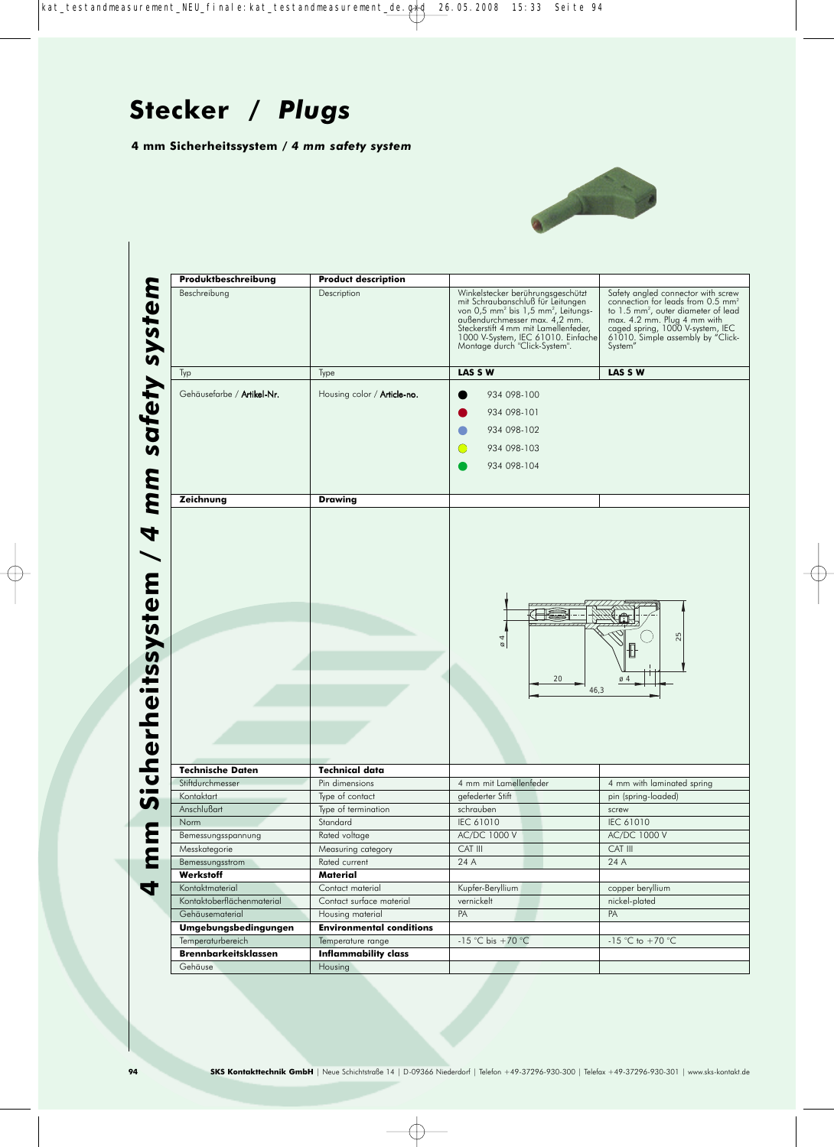**4 mm Sicherheitssystem /** *4 mm safety system*



| Produktbeschreibung         | <b>Product description</b>         |                                                                                                                                                                                                                                                                                       |                                                                                                                                                                                                                                                           |
|-----------------------------|------------------------------------|---------------------------------------------------------------------------------------------------------------------------------------------------------------------------------------------------------------------------------------------------------------------------------------|-----------------------------------------------------------------------------------------------------------------------------------------------------------------------------------------------------------------------------------------------------------|
| Beschreibung                | Description                        | Winkelstecker berührungsgeschützt<br>mit Schraubanschluß für Leitungen<br>von 0,5 mm <sup>2</sup> bis 1,5 mm <sup>2</sup> , Leitungs-<br>außendurchmesser max. 4,2 mm.<br>Steckerstift 4 mm mit Lamellenfeder,<br>1000 V-System, IEC 61010. Einfache<br>Montage durch "Click-System". | Safety angled connector with screw<br>connection for leads from 0.5 mm <sup>2</sup><br>to 1.5 mm <sup>2</sup> , outer diameter of lead<br>max. 4.2 mm. Plug 4 mm with<br>caged spring, 1000 V-system, IEC<br>61010. Simple assembly by "Click-<br>System" |
| Typ                         | Type                               | LAS S W                                                                                                                                                                                                                                                                               | LAS S W                                                                                                                                                                                                                                                   |
| Gehäusefarbe / Artikel-Nr.  | Housing color / <b>Article-no.</b> | 934 098-100                                                                                                                                                                                                                                                                           |                                                                                                                                                                                                                                                           |
|                             |                                    | 934 098-101                                                                                                                                                                                                                                                                           |                                                                                                                                                                                                                                                           |
|                             |                                    | 934 098-102                                                                                                                                                                                                                                                                           |                                                                                                                                                                                                                                                           |
|                             |                                    |                                                                                                                                                                                                                                                                                       |                                                                                                                                                                                                                                                           |
|                             |                                    | 934 098-103<br>0                                                                                                                                                                                                                                                                      |                                                                                                                                                                                                                                                           |
|                             |                                    | 934 098-104                                                                                                                                                                                                                                                                           |                                                                                                                                                                                                                                                           |
| Zeichnung                   | <b>Drawing</b>                     |                                                                                                                                                                                                                                                                                       |                                                                                                                                                                                                                                                           |
| <b>Technische Daten</b>     | <b>Technical data</b>              | $\alpha$<br>20<br>46,3                                                                                                                                                                                                                                                                | 25<br>丗<br>$\varnothing$ 4                                                                                                                                                                                                                                |
| Stiftdurchmesser            | Pin dimensions                     | 4 mm mit Lamellenfeder                                                                                                                                                                                                                                                                | 4 mm with laminated spring                                                                                                                                                                                                                                |
| Kontaktart                  | Type of contact                    | gefederter Stift                                                                                                                                                                                                                                                                      | pin (spring-loaded)                                                                                                                                                                                                                                       |
| Anschlußart                 | Type of termination                | schrauben                                                                                                                                                                                                                                                                             | screw                                                                                                                                                                                                                                                     |
| Norm                        | Standard                           | IEC 61010                                                                                                                                                                                                                                                                             | IEC 61010                                                                                                                                                                                                                                                 |
| Bemessungsspannung          | Rated voltage                      | AC/DC 1000 V                                                                                                                                                                                                                                                                          | AC/DC 1000 V                                                                                                                                                                                                                                              |
| Messkategorie               | Measuring category                 | CAT III                                                                                                                                                                                                                                                                               | CAT III                                                                                                                                                                                                                                                   |
| Bemessungsstrom             | Rated current                      | 24 A                                                                                                                                                                                                                                                                                  |                                                                                                                                                                                                                                                           |
| Werkstoff                   |                                    |                                                                                                                                                                                                                                                                                       | 24 A                                                                                                                                                                                                                                                      |
|                             | Material                           |                                                                                                                                                                                                                                                                                       |                                                                                                                                                                                                                                                           |
| Kontaktmaterial             | Contact material                   | Kupfer-Beryllium                                                                                                                                                                                                                                                                      | copper beryllium                                                                                                                                                                                                                                          |
| Kontaktoberflächenmaterial  | Contact surface material           | vernickelt                                                                                                                                                                                                                                                                            | nickel-plated                                                                                                                                                                                                                                             |
| Gehäusematerial             | Housing material                   | PA                                                                                                                                                                                                                                                                                    | PA                                                                                                                                                                                                                                                        |
| Umgebungsbedingungen        | <b>Environmental conditions</b>    |                                                                                                                                                                                                                                                                                       |                                                                                                                                                                                                                                                           |
| Temperaturbereich           | Temperature range                  | -15 °C bis +70 °C                                                                                                                                                                                                                                                                     | -15 °C to +70 °C                                                                                                                                                                                                                                          |
| <b>Brennbarkeitsklassen</b> | <b>Inflammability class</b>        |                                                                                                                                                                                                                                                                                       |                                                                                                                                                                                                                                                           |